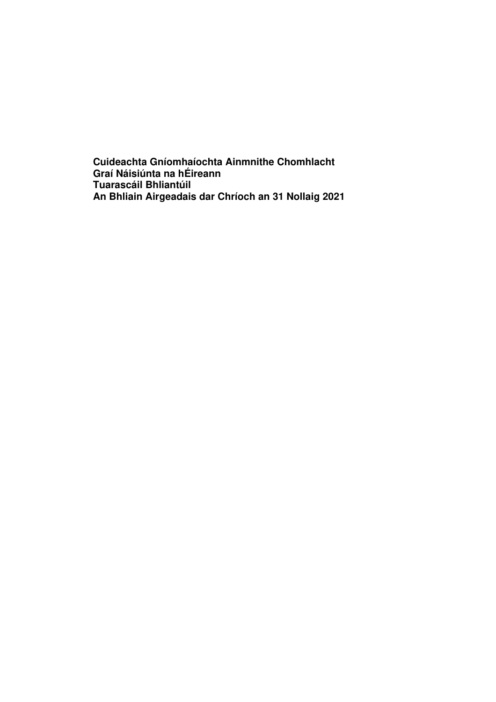**Cuideachta Gníomhaíochta Ainmnithe Chomhlacht Graí Náisiúnta na hÉireann Tuarascáil Bhliantúil An Bhliain Airgeadais dar Chríoch an 31 Nollaig 2021**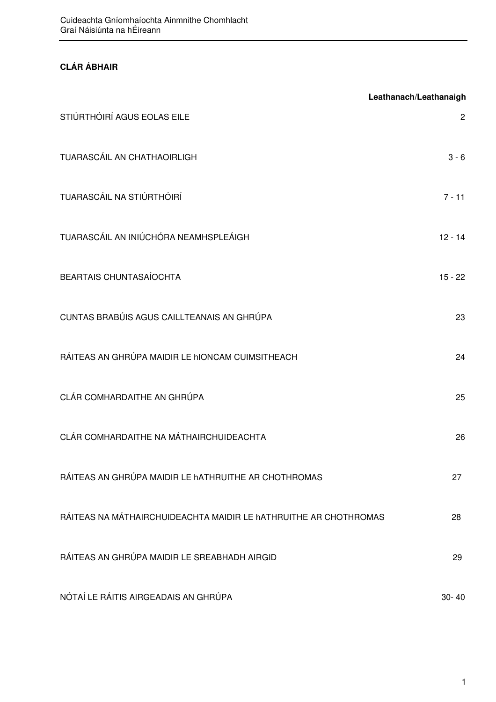# **CLÁR ÁBHAIR**

|                                                                  | Leathanach/Leathanaigh |
|------------------------------------------------------------------|------------------------|
| STIÚRTHÓIRÍ AGUS EOLAS EILE                                      | $\overline{2}$         |
| TUARASCÁIL AN CHATHAOIRLIGH                                      | $3 - 6$                |
| TUARASCÁIL NA STIÚRTHÓIRÍ                                        | $7 - 11$               |
| TUARASCÁIL AN INIÚCHÓRA NEAMHSPLEÁIGH                            | $12 - 14$              |
| BEARTAIS CHUNTASAÍOCHTA                                          | $15 - 22$              |
| CUNTAS BRABÚIS AGUS CAILLTEANAIS AN GHRÚPA                       | 23                     |
| RÁITEAS AN GHRÚPA MAIDIR LE HIONCAM CUIMSITHEACH                 | 24                     |
| CLÁR COMHARDAITHE AN GHRÚPA                                      | 25                     |
| CLÁR COMHARDAITHE NA MÁTHAIRCHUIDEACHTA                          | 26                     |
| RÁITEAS AN GHRÚPA MAIDIR LE hATHRUITHE AR CHOTHROMAS             | 27                     |
| RÁITEAS NA MÁTHAIRCHUIDEACHTA MAIDIR LE hATHRUITHE AR CHOTHROMAS | 28                     |
| RÁITEAS AN GHRÚPA MAIDIR LE SREABHADH AIRGID                     | 29                     |
| NÓTAÍ LE RÁITIS AIRGEADAIS AN GHRÚPA                             | $30 - 40$              |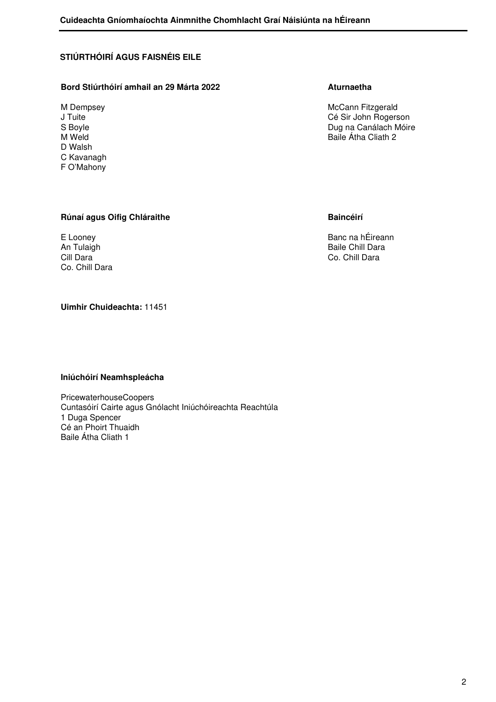## **STIÚRTHÓIRÍ AGUS FAISNÉIS EILE**

## Bord Stiúrthóirí amhail an 29 Márta 2022 **Aturnaetha**

D Walsh C Kavanagh F O'Mahony

M Dempsey **Manufather Community** Community McCann Fitzgerald J Tuite Cé Sir John Rogerson S Boyle **Suite Search Africa and Suite Search Africa and Suite Africa and Dug na Canálach Móire M**<br>
Baile Átha Cliath 2 Baile Átha Cliath 2

## **Rúnaí agus Oifig Chláraithe Baincéirí Baincéirí**

Co. Chill Dara

E Looney **Banc na hÉireann** An Tulaigh **Baile Chill Dara** Cill Dara Co. Chill Dara Co. Chill Dara Co. Chill Dara Co. Chill Dara Co. Chill Dara Co. Chill Dara

## **Uimhir Chuideachta:** 11451

#### **Iniúchóirí Neamhspleácha**

PricewaterhouseCoopers Cuntasóirí Cairte agus Gnólacht Iniúchóireachta Reachtúla 1 Duga Spencer Cé an Phoirt Thuaidh Baile Átha Cliath 1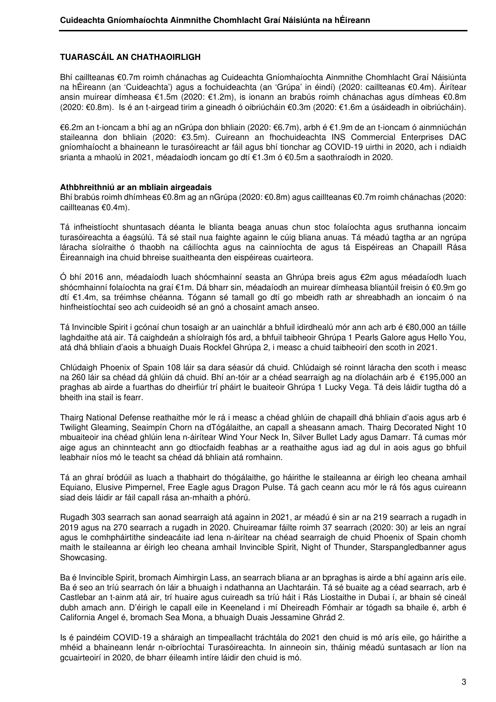## **TUARASCÁIL AN CHATHAOIRLIGH**

Bhí caillteanas €0.7m roimh chánachas ag Cuideachta Gníomhaíochta Ainmnithe Chomhlacht Graí Náisiúnta na hÉireann (an 'Cuideachta') agus a fochuideachta (an 'Grúpa' in éindí) (2020: caillteanas €0.4m). Áirítear ansin muirear dímheasa €1.5m (2020: €1.2m), is ionann an brabús roimh chánachas agus dímheas €0.8m (2020: €0.8m). Is é an t-airgead tirim a gineadh ó oibriúcháin €0.3m (2020: €1.6m a úsáideadh in oibriúcháin).

€6.2m an t-ioncam a bhí ag an nGrúpa don bhliain (2020: €6.7m), arbh é €1.9m de an t-ioncam ó ainmniúchán staileanna don bhliain (2020: €3.5m). Cuireann an fhochuideachta INS Commercial Enterprises DAC gníomhaíocht a bhaineann le turasóireacht ar fáil agus bhí tionchar ag COVID-19 uirthi in 2020, ach i ndiaidh srianta a mhaolú in 2021, méadaíodh ioncam go dtí €1.3m ó €0.5m a saothraíodh in 2020.

#### **Athbhreithniú ar an mbliain airgeadais**

Bhí brabús roimh dhímheas €0.8m ag an nGrúpa (2020: €0.8m) agus caillteanas €0.7m roimh chánachas (2020: caillteanas €0.4m).

Tá infheistíocht shuntasach déanta le blianta beaga anuas chun stoc folaíochta agus sruthanna ioncaim turasóireachta a éagsúlú. Tá sé stail nua faighte againn le cúig bliana anuas. Tá méadú tagtha ar an ngrúpa láracha síolraithe ó thaobh na cáilíochta agus na cainníochta de agus tá Eispéireas an Chapaill Rása Éireannaigh ina chuid bhreise suaitheanta den eispéireas cuairteora.

Ó bhí 2016 ann, méadaíodh luach shócmhainní seasta an Ghrúpa breis agus €2m agus méadaíodh luach shócmhainní folaíochta na graí €1m. Dá bharr sin, méadaíodh an muirear dímheasa bliantúil freisin ó €0.9m go dtí €1.4m, sa tréimhse chéanna. Tógann sé tamall go dtí go mbeidh rath ar shreabhadh an ioncaim ó na hinfheistíochtaí seo ach cuideoidh sé an gnó a chosaint amach anseo.

Tá Invincible Spirit i gcónaí chun tosaigh ar an uainchlár a bhfuil idirdhealú mór ann ach arb é €80,000 an táille laghdaithe atá air. Tá caighdeán a shíolraigh fós ard, a bhfuil taibheoir Ghrúpa 1 Pearls Galore agus Hello You, atá dhá bhliain d'aois a bhuaigh Duais Rockfel Ghrúpa 2, i measc a chuid taibheoirí den scoth in 2021.

Chlúdaigh Phoenix of Spain 108 láir sa dara séasúr dá chuid. Chlúdaigh sé roinnt láracha den scoth i measc na 260 láir sa chéad dá ghlúin dá chuid. Bhí an-tóir ar a chéad searraigh ag na díolacháin arb é €195,000 an praghas ab airde a fuarthas do dheirfiúr trí pháirt le buaiteoir Ghrúpa 1 Lucky Vega. Tá deis láidir tugtha dó a bheith ina stail is fearr.

Thairg National Defense reathaithe mór le rá i measc a chéad ghlúin de chapaill dhá bhliain d'aois agus arb é Twilight Gleaming, Seaimpín Chorn na dTógálaithe, an capall a sheasann amach. Thairg Decorated Night 10 mbuaiteoir ina chéad ghlúin lena n-áirítear Wind Your Neck In, Silver Bullet Lady agus Damarr. Tá cumas mór aige agus an chinnteacht ann go dtiocfaidh feabhas ar a reathaithe agus iad ag dul in aois agus go bhfuil leabhair níos mó le teacht sa chéad dá bhliain atá romhainn.

Tá an ghraí bródúil as luach a thabhairt do thógálaithe, go háirithe le staileanna ar éirigh leo cheana amhail Equiano, Elusive Pimpernel, Free Eagle agus Dragon Pulse. Tá gach ceann acu mór le rá fós agus cuireann siad deis láidir ar fáil capall rása an-mhaith a phórú.

Rugadh 303 searrach san aonad searraigh atá againn in 2021, ar méadú é sin ar na 219 searrach a rugadh in 2019 agus na 270 searrach a rugadh in 2020. Chuireamar fáilte roimh 37 searrach (2020: 30) ar leis an ngraí agus le comhpháirtithe sindeacáite iad lena n-áirítear na chéad searraigh de chuid Phoenix of Spain chomh maith le staileanna ar éirigh leo cheana amhail Invincible Spirit, Night of Thunder, Starspangledbanner agus Showcasing.

Ba é Invincible Spirit, bromach Aimhirgin Lass, an searrach bliana ar an bpraghas is airde a bhí againn arís eile. Ba é seo an tríú searrach ón láir a bhuaigh i ndathanna an Uachtaráin. Tá sé buaite ag a céad searrach, arb é Castlebar an t-ainm atá air, trí huaire agus cuireadh sa tríú háit i Rás Liostaithe in Dubai í, ar bhain sé cineál dubh amach ann. D'éirigh le capall eile in Keeneland i mí Dheireadh Fómhair ar tógadh sa bhaile é, arbh é California Angel é, bromach Sea Mona, a bhuaigh Duais Jessamine Ghrád 2.

Is é paindéim COVID-19 a sháraigh an timpeallacht tráchtála do 2021 den chuid is mó arís eile, go háirithe a mhéid a bhaineann lenár n-oibríochtaí Turasóireachta. In ainneoin sin, tháinig méadú suntasach ar líon na gcuairteoirí in 2020, de bharr éileamh intíre láidir den chuid is mó.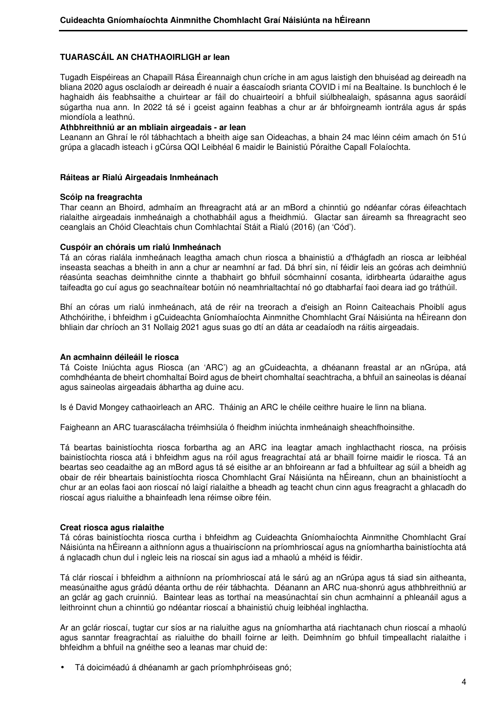## **TUARASCÁIL AN CHATHAOIRLIGH ar lean**

Tugadh Eispéireas an Chapaill Rása Éireannaigh chun críche in am agus laistigh den bhuiséad ag deireadh na bliana 2020 agus osclaíodh ar deireadh é nuair a éascaíodh srianta COVID i mí na Bealtaine. Is bunchloch é le haghaidh áis feabhsaithe a chuirtear ar fáil do chuairteoirí a bhfuil siúlbhealaigh, spásanna agus saoráidí súgartha nua ann. In 2022 tá sé i gceist againn feabhas a chur ar ár bhfoirgneamh iontrála agus ár spás miondíola a leathnú.

### **Athbhreithniú ar an mbliain airgeadais - ar lean**

Leanann an Ghraí le ról tábhachtach a bheith aige san Oideachas, a bhain 24 mac léinn céim amach ón 51ú grúpa a glacadh isteach i gCúrsa QQI Leibhéal 6 maidir le Bainistiú Póraithe Capall Folaíochta.

#### **Ráiteas ar Rialú Airgeadais Inmheánach**

#### **Scóip na freagrachta**

Thar ceann an Bhoird, admhaím an fhreagracht atá ar an mBord a chinntiú go ndéanfar córas éifeachtach rialaithe airgeadais inmheánaigh a chothabháil agus a fheidhmiú. Glactar san áireamh sa fhreagracht seo ceanglais an Chóid Cleachtais chun Comhlachtaí Stáit a Rialú (2016) (an 'Cód').

#### **Cuspóir an chórais um rialú Inmheánach**

Tá an córas rialála inmheánach leagtha amach chun riosca a bhainistiú a d'fhágfadh an riosca ar leibhéal inseasta seachas a bheith in ann a chur ar neamhní ar fad. Dá bhrí sin, ní féidir leis an gcóras ach deimhniú réasúnta seachas deimhnithe cinnte a thabhairt go bhfuil sócmhainní cosanta, idirbhearta údaraithe agus taifeadta go cuí agus go seachnaítear botúin nó neamhrialtachtaí nó go dtabharfaí faoi deara iad go tráthúil.

Bhí an córas um rialú inmheánach, atá de réir na treorach a d'eisigh an Roinn Caiteachais Phoiblí agus Athchóirithe, i bhfeidhm i gCuideachta Gníomhaíochta Ainmnithe Chomhlacht Graí Náisiúnta na hÉireann don bhliain dar chríoch an 31 Nollaig 2021 agus suas go dtí an dáta ar ceadaíodh na ráitis airgeadais.

#### **An acmhainn déileáil le riosca**

Tá Coiste Iniúchta agus Riosca (an 'ARC') ag an gCuideachta, a dhéanann freastal ar an nGrúpa, atá comhdhéanta de bheirt chomhaltaí Boird agus de bheirt chomhaltaí seachtracha, a bhfuil an saineolas is déanaí agus saineolas airgeadais ábhartha ag duine acu.

Is é David Mongey cathaoirleach an ARC. Tháinig an ARC le chéile ceithre huaire le linn na bliana.

Faigheann an ARC tuarascálacha tréimhsiúla ó fheidhm iniúchta inmheánaigh sheachfhoinsithe.

Tá beartas bainistíochta riosca forbartha ag an ARC ina leagtar amach inghlacthacht riosca, na próisis bainistíochta riosca atá i bhfeidhm agus na róil agus freagrachtaí atá ar bhaill foirne maidir le riosca. Tá an beartas seo ceadaithe ag an mBord agus tá sé eisithe ar an bhfoireann ar fad a bhfuiltear ag súil a bheidh ag obair de réir bheartais bainistíochta riosca Chomhlacht Graí Náisiúnta na hÉireann, chun an bhainistíocht a chur ar an eolas faoi aon rioscaí nó laigí rialaithe a bheadh ag teacht chun cinn agus freagracht a ghlacadh do rioscaí agus rialuithe a bhainfeadh lena réimse oibre féin.

#### **Creat riosca agus rialaithe**

Tá córas bainistíochta riosca curtha i bhfeidhm ag Cuideachta Gníomhaíochta Ainmnithe Chomhlacht Graí Náisiúnta na hÉireann a aithníonn agus a thuairiscíonn na príomhrioscaí agus na gníomhartha bainistíochta atá á nglacadh chun dul i ngleic leis na rioscaí sin agus iad a mhaolú a mhéid is féidir.

Tá clár rioscaí i bhfeidhm a aithníonn na príomhrioscaí atá le sárú ag an nGrúpa agus tá siad sin aitheanta, measúnaithe agus grádú déanta orthu de réir tábhachta. Déanann an ARC nua-shonrú agus athbhreithniú ar an gclár ag gach cruinniú. Baintear leas as torthaí na measúnachtaí sin chun acmhainní a phleanáil agus a leithroinnt chun a chinntiú go ndéantar rioscaí a bhainistiú chuig leibhéal inghlactha.

Ar an gclár rioscaí, tugtar cur síos ar na rialuithe agus na gníomhartha atá riachtanach chun rioscaí a mhaolú agus sanntar freagrachtaí as rialuithe do bhaill foirne ar leith. Deimhním go bhfuil timpeallacht rialaithe i bhfeidhm a bhfuil na gnéithe seo a leanas mar chuid de:

• Tá doiciméadú á dhéanamh ar gach príomhphróiseas gnó;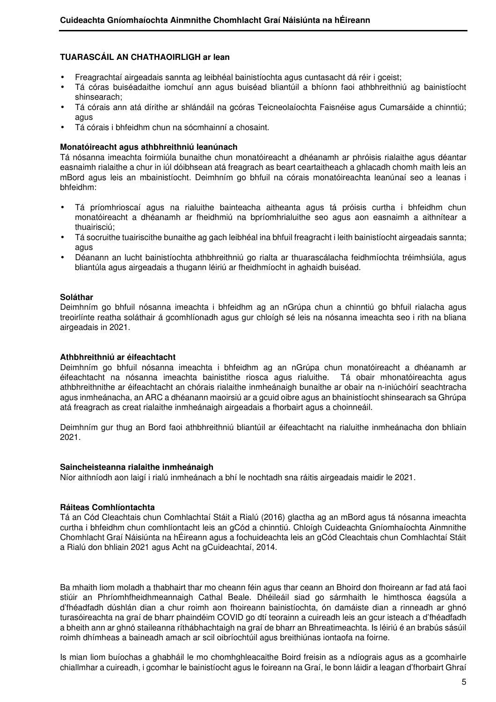## **TUARASCÁIL AN CHATHAOIRLIGH ar lean**

- Freagrachtaí airgeadais sannta ag leibhéal bainistíochta agus cuntasacht dá réir i gceist;
- Tá córas buiséadaithe iomchuí ann agus buiséad bliantúil a bhíonn faoi athbhreithniú ag bainistíocht shinsearach;
- Tá córais ann atá dírithe ar shlándáil na gcóras Teicneolaíochta Faisnéise agus Cumarsáide a chinntiú; agus
- Tá córais i bhfeidhm chun na sócmhainní a chosaint.

#### **Monatóireacht agus athbhreithniú leanúnach**

Tá nósanna imeachta foirmiúla bunaithe chun monatóireacht a dhéanamh ar phróisis rialaithe agus déantar easnaimh rialaithe a chur in iúl dóibhsean atá freagrach as beart ceartaitheach a ghlacadh chomh maith leis an mBord agus leis an mbainistíocht. Deimhním go bhfuil na córais monatóireachta leanúnaí seo a leanas i bhfeidhm:

- Tá príomhrioscaí agus na rialuithe bainteacha aitheanta agus tá próisis curtha i bhfeidhm chun monatóireacht a dhéanamh ar fheidhmiú na bpríomhrialuithe seo agus aon easnaimh a aithnítear a thuairisciú;
- Tá socruithe tuairiscithe bunaithe ag gach leibhéal ina bhfuil freagracht i leith bainistíocht airgeadais sannta; agus
- Déanann an lucht bainistíochta athbhreithniú go rialta ar thuarascálacha feidhmíochta tréimhsiúla, agus bliantúla agus airgeadais a thugann léiriú ar fheidhmíocht in aghaidh buiséad.

#### **Soláthar**

Deimhním go bhfuil nósanna imeachta i bhfeidhm ag an nGrúpa chun a chinntiú go bhfuil rialacha agus treoirlínte reatha soláthair á gcomhlíonadh agus gur chloígh sé leis na nósanna imeachta seo i rith na bliana airgeadais in 2021.

#### **Athbhreithniú ar éifeachtacht**

Deimhním go bhfuil nósanna imeachta i bhfeidhm ag an nGrúpa chun monatóireacht a dhéanamh ar éifeachtacht na nósanna imeachta bainistithe riosca agus rialuithe. Tá obair mhonatóireachta agus athbhreithnithe ar éifeachtacht an chórais rialaithe inmheánaigh bunaithe ar obair na n-iniúchóirí seachtracha agus inmheánacha, an ARC a dhéanann maoirsiú ar a gcuid oibre agus an bhainistíocht shinsearach sa Ghrúpa atá freagrach as creat rialaithe inmheánaigh airgeadais a fhorbairt agus a choinneáil.

Deimhním gur thug an Bord faoi athbhreithniú bliantúil ar éifeachtacht na rialuithe inmheánacha don bhliain 2021.

#### **Saincheisteanna rialaithe inmheánaigh**

Níor aithníodh aon laigí i rialú inmheánach a bhí le nochtadh sna ráitis airgeadais maidir le 2021.

#### **Ráiteas Comhlíontachta**

Tá an Cód Cleachtais chun Comhlachtaí Stáit a Rialú (2016) glactha ag an mBord agus tá nósanna imeachta curtha i bhfeidhm chun comhlíontacht leis an gCód a chinntiú. Chloígh Cuideachta Gníomhaíochta Ainmnithe Chomhlacht Graí Náisiúnta na hÉireann agus a fochuideachta leis an gCód Cleachtais chun Comhlachtaí Stáit a Rialú don bhliain 2021 agus Acht na gCuideachtaí, 2014.

Ba mhaith liom moladh a thabhairt thar mo cheann féin agus thar ceann an Bhoird don fhoireann ar fad atá faoi stiúir an Phríomhfheidhmeannaigh Cathal Beale. Dhéileáil siad go sármhaith le himthosca éagsúla a d'fhéadfadh dúshlán dian a chur roimh aon fhoireann bainistíochta, ón damáiste dian a rinneadh ar ghnó turasóireachta na graí de bharr phaindéim COVID go dtí teorainn a cuireadh leis an gcur isteach a d'fhéadfadh a bheith ann ar ghnó staileanna ríthábhachtaigh na graí de bharr an Bhreatimeachta. Is léiriú é an brabús sásúil roimh dhímheas a baineadh amach ar scil oibríochtúil agus breithiúnas iontaofa na foirne.

Is mian liom buíochas a ghabháil le mo chomhghleacaithe Boird freisin as a ndíograis agus as a gcomhairle chiallmhar a cuireadh, i gcomhar le bainistíocht agus le foireann na Graí, le bonn láidir a leagan d'fhorbairt Ghraí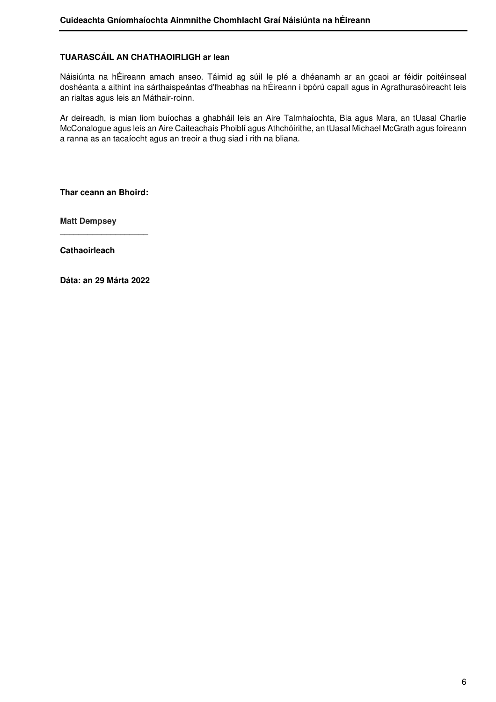## **TUARASCÁIL AN CHATHAOIRLIGH ar lean**

Náisiúnta na hÉireann amach anseo. Táimid ag súil le plé a dhéanamh ar an gcaoi ar féidir poitéinseal doshéanta a aithint ina sárthaispeántas d'fheabhas na hÉireann i bpórú capall agus in Agrathurasóireacht leis an rialtas agus leis an Máthair-roinn.

Ar deireadh, is mian liom buíochas a ghabháil leis an Aire Talmhaíochta, Bia agus Mara, an tUasal Charlie McConalogue agus leis an Aire Caiteachais Phoiblí agus Athchóirithe, an tUasal Michael McGrath agus foireann a ranna as an tacaíocht agus an treoir a thug siad i rith na bliana.

**Thar ceann an Bhoird:** 

 $\overline{\phantom{a}}$  , and the set of the set of the set of the set of the set of the set of the set of the set of the set of the set of the set of the set of the set of the set of the set of the set of the set of the set of the s

**Matt Dempsey** 

**Cathaoirleach** 

**Dáta: an 29 Márta 2022**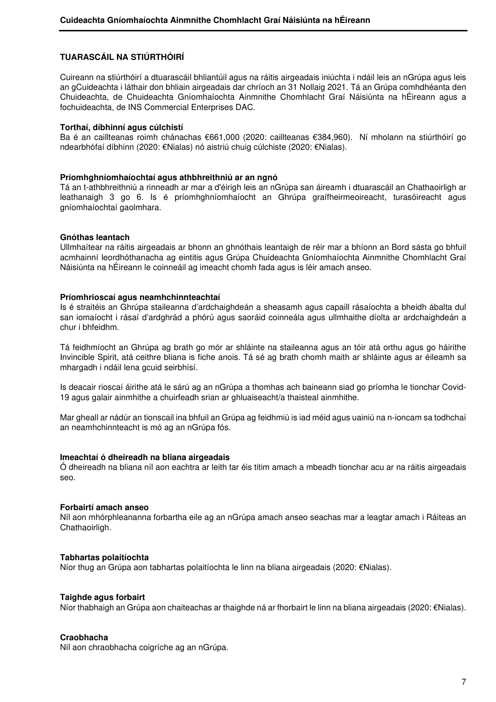## **TUARASCÁIL NA STIÚRTHÓIRÍ**

Cuireann na stiúrthóirí a dtuarascáil bhliantúil agus na ráitis airgeadais iniúchta i ndáil leis an nGrúpa agus leis an gCuideachta i láthair don bhliain airgeadais dar chríoch an 31 Nollaig 2021. Tá an Grúpa comhdhéanta den Chuideachta, de Chuideachta Gníomhaíochta Ainmnithe Chomhlacht Graí Náisiúnta na hÉireann agus a fochuideachta, de INS Commercial Enterprises DAC.

#### **Torthaí, díbhinní agus cúlchistí**

Ba é an caillteanas roimh chánachas €661,000 (2020: caillteanas €384,960). Ní mholann na stiúrthóirí go ndearbhófaí díbhinn (2020: €Nialas) nó aistriú chuig cúlchiste (2020: €Nialas).

#### **Príomhghníomhaíochtaí agus athbhreithniú ar an ngnó**

Tá an t-athbhreithniú a rinneadh ar mar a d'éirigh leis an nGrúpa san áireamh i dtuarascáil an Chathaoirligh ar leathanaigh 3 go 6. Is é príomhghníomhaíocht an Ghrúpa graífheirmeoireacht, turasóireacht agus gníomhaíochtaí gaolmhara.

#### **Gnóthas leantach**

Ullmhaítear na ráitis airgeadais ar bhonn an ghnóthais leantaigh de réir mar a bhíonn an Bord sásta go bhfuil acmhainní leordhóthanacha ag eintitis agus Grúpa Chuideachta Gníomhaíochta Ainmnithe Chomhlacht Graí Náisiúnta na hÉireann le coinneáil ag imeacht chomh fada agus is léir amach anseo.

#### **Príomhrioscaí agus neamhchinnteachtaí**

Is é straitéis an Ghrúpa staileanna d'ardchaighdeán a sheasamh agus capaill rásaíochta a bheidh ábalta dul san iomaíocht i rásaí d'ardghrád a phórú agus saoráid coinneála agus ullmhaithe díolta ar ardchaighdeán a chur i bhfeidhm.

Tá feidhmíocht an Ghrúpa ag brath go mór ar shláinte na staileanna agus an tóir atá orthu agus go háirithe Invincible Spirit, atá ceithre bliana is fiche anois. Tá sé ag brath chomh maith ar shláinte agus ar éileamh sa mhargadh i ndáil lena gcuid seirbhísí.

Is deacair rioscaí áirithe atá le sárú ag an nGrúpa a thomhas ach baineann siad go príomha le tionchar Covid-19 agus galair ainmhithe a chuirfeadh srian ar ghluaiseacht/a thaisteal ainmhithe.

Mar gheall ar nádúr an tionscail ina bhfuil an Grúpa ag feidhmiú is iad méid agus uainiú na n-ioncam sa todhchaí an neamhchinnteacht is mó ag an nGrúpa fós.

#### **Imeachtaí ó dheireadh na bliana airgeadais**

Ó dheireadh na bliana níl aon eachtra ar leith tar éis titim amach a mbeadh tionchar acu ar na ráitis airgeadais seo.

#### **Forbairtí amach anseo**

Níl aon mhórphleananna forbartha eile ag an nGrúpa amach anseo seachas mar a leagtar amach i Ráiteas an Chathaoirligh.

#### **Tabhartas polaitíochta**

Níor thug an Grúpa aon tabhartas polaitíochta le linn na bliana airgeadais (2020: €Nialas).

#### **Taighde agus forbairt**

Níor thabhaigh an Grúpa aon chaiteachas ar thaighde ná ar fhorbairt le linn na bliana airgeadais (2020: €Nialas).

#### **Craobhacha**

Níl aon chraobhacha coigríche ag an nGrúpa.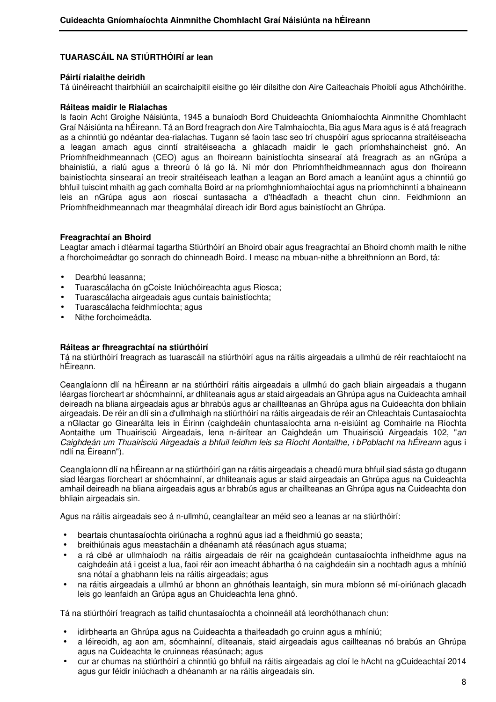#### **Páirtí rialaithe deiridh**

Tá úinéireacht thairbhiúil an scairchaipitil eisithe go léir dílsithe don Aire Caiteachais Phoiblí agus Athchóirithe.

#### **Ráiteas maidir le Rialachas**

Is faoin Acht Groighe Náisiúnta, 1945 a bunaíodh Bord Chuideachta Gníomhaíochta Ainmnithe Chomhlacht Graí Náisiúnta na hÉireann. Tá an Bord freagrach don Aire Talmhaíochta, Bia agus Mara agus is é atá freagrach as a chinntiú go ndéantar dea-rialachas. Tugann sé faoin tasc seo trí chuspóirí agus spriocanna straitéiseacha a leagan amach agus cinntí straitéiseacha a ghlacadh maidir le gach príomhshaincheist gnó. An Príomhfheidhmeannach (CEO) agus an fhoireann bainistíochta sinsearaí atá freagrach as an nGrúpa a bhainistiú, a rialú agus a threorú ó lá go lá. Ní mór don Phríomhfheidhmeannach agus don fhoireann bainistíochta sinsearaí an treoir straitéiseach leathan a leagan an Bord amach a leanúint agus a chinntiú go bhfuil tuiscint mhaith ag gach comhalta Boird ar na príomhghníomhaíochtaí agus na príomhchinntí a bhaineann leis an nGrúpa agus aon rioscaí suntasacha a d'fhéadfadh a theacht chun cinn. Feidhmíonn an Príomhfheidhmeannach mar theagmhálaí díreach idir Bord agus bainistíocht an Ghrúpa.

#### **Freagrachtaí an Bhoird**

Leagtar amach i dtéarmaí tagartha Stiúrthóirí an Bhoird obair agus freagrachtaí an Bhoird chomh maith le nithe a fhorchoimeádtar go sonrach do chinneadh Boird. I measc na mbuan-nithe a bhreithníonn an Bord, tá:

- Dearbhú leasanna;
- Tuarascálacha ón gCoiste Iniúchóireachta agus Riosca;
- Tuarascálacha airgeadais agus cuntais bainistíochta;
- Tuarascálacha feidhmíochta; agus
- Nithe forchoimeádta.

#### **Ráiteas ar fhreagrachtaí na stiúrthóirí**

Tá na stiúrthóirí freagrach as tuarascáil na stiúrthóirí agus na ráitis airgeadais a ullmhú de réir reachtaíocht na hÉireann.

Ceanglaíonn dlí na hÉireann ar na stiúrthóirí ráitis airgeadais a ullmhú do gach bliain airgeadais a thugann léargas fíorcheart ar shócmhainní, ar dhliteanais agus ar staid airgeadais an Ghrúpa agus na Cuideachta amhail deireadh na bliana airgeadais agus ar bhrabús agus ar chaillteanas an Ghrúpa agus na Cuideachta don bhliain airgeadais. De réir an dlí sin a d'ullmhaigh na stiúrthóirí na ráitis airgeadais de réir an Chleachtais Cuntasaíochta a nGlactar go Ginearálta leis in Éirinn (caighdeáin chuntasaíochta arna n-eisiúint ag Comhairle na Ríochta Aontaithe um Thuairisciú Airgeadais, lena n-áirítear an Caighdeán um Thuairisciú Airgeadais 102, "an Caighdeán um Thuairisciú Airgeadais a bhfuil feidhm leis sa Ríocht Aontaithe, i bPoblacht na hÉireann agus i ndlí na Éireann").

Ceanglaíonn dlí na hÉireann ar na stiúrthóirí gan na ráitis airgeadais a cheadú mura bhfuil siad sásta go dtugann siad léargas fíorcheart ar shócmhainní, ar dhliteanais agus ar staid airgeadais an Ghrúpa agus na Cuideachta amhail deireadh na bliana airgeadais agus ar bhrabús agus ar chaillteanas an Ghrúpa agus na Cuideachta don bhliain airgeadais sin.

Agus na ráitis airgeadais seo á n-ullmhú, ceanglaítear an méid seo a leanas ar na stiúrthóirí:

- beartais chuntasaíochta oiriúnacha a roghnú agus iad a fheidhmiú go seasta;
- breithiúnais agus meastacháin a dhéanamh atá réasúnach agus stuama;
- a rá cibé ar ullmhaíodh na ráitis airgeadais de réir na gcaighdeán cuntasaíochta infheidhme agus na caighdeáin atá i gceist a lua, faoi réir aon imeacht ábhartha ó na caighdeáin sin a nochtadh agus a mhíniú sna nótaí a ghabhann leis na ráitis airgeadais; agus
- na ráitis airgeadais a ullmhú ar bhonn an ghnóthais leantaigh, sin mura mbíonn sé mí-oiriúnach glacadh leis go leanfaidh an Grúpa agus an Chuideachta lena ghnó.

Tá na stiúrthóirí freagrach as taifid chuntasaíochta a choinneáil atá leordhóthanach chun:

- idirbhearta an Ghrúpa agus na Cuideachta a thaifeadadh go cruinn agus a mhíniú;
- a léireoidh, ag aon am, sócmhainní, dliteanais, staid airgeadais agus caillteanas nó brabús an Ghrúpa agus na Cuideachta le cruinneas réasúnach; agus
- cur ar chumas na stiúrthóirí a chinntiú go bhfuil na ráitis airgeadais ag cloí le hAcht na gCuideachtaí 2014 agus gur féidir iniúchadh a dhéanamh ar na ráitis airgeadais sin.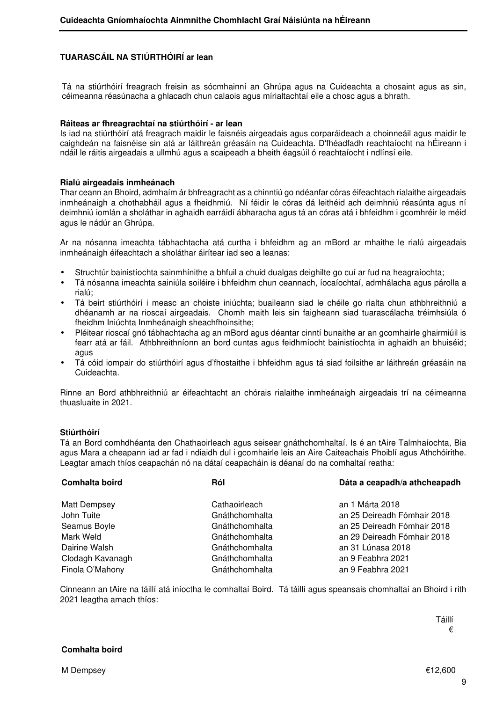Tá na stiúrthóirí freagrach freisin as sócmhainní an Ghrúpa agus na Cuideachta a chosaint agus as sin, céimeanna réasúnacha a ghlacadh chun calaois agus mírialtachtaí eile a chosc agus a bhrath.

#### **Ráiteas ar fhreagrachtaí na stiúrthóirí - ar lean**

Is iad na stiúrthóirí atá freagrach maidir le faisnéis airgeadais agus corparáideach a choinneáil agus maidir le caighdeán na faisnéise sin atá ar láithreán gréasáin na Cuideachta. D'fhéadfadh reachtaíocht na hÉireann i ndáil le ráitis airgeadais a ullmhú agus a scaipeadh a bheith éagsúil ó reachtaíocht i ndlínsí eile.

#### **Rialú airgeadais inmheánach**

Thar ceann an Bhoird, admhaím ár bhfreagracht as a chinntiú go ndéanfar córas éifeachtach rialaithe airgeadais inmheánaigh a chothabháil agus a fheidhmiú. Ní féidir le córas dá leithéid ach deimhniú réasúnta agus ní deimhniú iomlán a sholáthar in aghaidh earráidí ábharacha agus tá an córas atá i bhfeidhm i gcomhréir le méid agus le nádúr an Ghrúpa.

Ar na nósanna imeachta tábhachtacha atá curtha i bhfeidhm ag an mBord ar mhaithe le rialú airgeadais inmheánaigh éifeachtach a sholáthar áirítear iad seo a leanas:

- Struchtúr bainistíochta sainmhínithe a bhfuil a chuid dualgas deighilte go cuí ar fud na heagraíochta;
- Tá nósanna imeachta sainiúla soiléire i bhfeidhm chun ceannach, íocaíochtaí, admhálacha agus párolla a rialú;
- Tá beirt stiúrthóirí i measc an choiste iniúchta; buaileann siad le chéile go rialta chun athbhreithniú a dhéanamh ar na rioscaí airgeadais. Chomh maith leis sin faigheann siad tuarascálacha tréimhsiúla ó fheidhm Iniúchta Inmheánaigh sheachfhoinsithe;
- Pléitear rioscaí gnó tábhachtacha ag an mBord agus déantar cinntí bunaithe ar an gcomhairle ghairmiúil is fearr atá ar fáil. Athbhreithníonn an bord cuntas agus feidhmíocht bainistíochta in aghaidh an bhuiséid; agus
- Tá cóid iompair do stiúrthóirí agus d'fhostaithe i bhfeidhm agus tá siad foilsithe ar láithreán gréasáin na Cuideachta.

Rinne an Bord athbhreithniú ar éifeachtacht an chórais rialaithe inmheánaigh airgeadais trí na céimeanna thuasluaite in 2021.

## **Stiúrthóirí**

Tá an Bord comhdhéanta den Chathaoirleach agus seisear gnáthchomhaltaí. Is é an tAire Talmhaíochta, Bia agus Mara a cheapann iad ar fad i ndiaidh dul i gcomhairle leis an Aire Caiteachais Phoiblí agus Athchóirithe. Leagtar amach thíos ceapachán nó na dátaí ceapacháin is déanaí do na comhaltaí reatha:

| Comhalta boird      | Dáta a ceapadh/a athcheapadh<br>Ról |                             |
|---------------------|-------------------------------------|-----------------------------|
| <b>Matt Dempsey</b> | Cathaoirleach                       | an 1 Márta 2018             |
| John Tuite          | Gnáthchomhalta                      | an 25 Deireadh Fómhair 2018 |
| Seamus Boyle        | Gnáthchomhalta                      | an 25 Deireadh Fómhair 2018 |
| Mark Weld           | Gnáthchomhalta                      | an 29 Deireadh Fómhair 2018 |
| Dairine Walsh       | Gnáthchomhalta                      | an 31 Lúnasa 2018           |
| Clodagh Kavanagh    | Gnáthchomhalta                      | an 9 Feabhra 2021           |
| Finola O'Mahony     | Gnáthchomhalta                      | an 9 Feabhra 2021           |

Cinneann an tAire na táillí atá iníoctha le comhaltaí Boird. Tá táillí agus speansais chomhaltaí an Bhoird i rith 2021 leagtha amach thíos: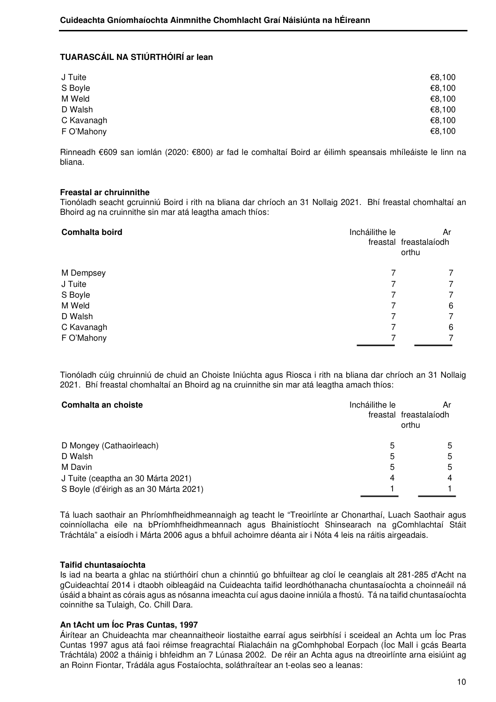| J Tuite    | €8,100 |
|------------|--------|
| S Boyle    | €8,100 |
| M Weld     | €8,100 |
| D Walsh    | €8,100 |
| C Kavanagh | €8,100 |
| F O'Mahony | €8,100 |

Rinneadh €609 san iomlán (2020: €800) ar fad le comhaltaí Boird ar éilimh speansais mhíleáiste le linn na bliana.

#### **Freastal ar chruinnithe**

Tionóladh seacht gcruinniú Boird i rith na bliana dar chríoch an 31 Nollaig 2021. Bhí freastal chomhaltaí an Bhoird ag na cruinnithe sin mar atá leagtha amach thíos:

| Comhalta boird | Incháilithe le | Ar<br>freastal freastalaíodh<br>orthu |
|----------------|----------------|---------------------------------------|
| M Dempsey      |                | 7                                     |
| J Tuite        |                | 7                                     |
| S Boyle        |                | 7                                     |
| M Weld         |                | 6                                     |
| D Walsh        |                | 7                                     |
| C Kavanagh     |                | 6                                     |
| F O'Mahony     |                | 7                                     |

Tionóladh cúig chruinniú de chuid an Choiste Iniúchta agus Riosca i rith na bliana dar chríoch an 31 Nollaig 2021. Bhí freastal chomhaltaí an Bhoird ag na cruinnithe sin mar atá leagtha amach thíos:

| Comhalta an choiste                    | Incháilithe le | Ar<br>freastal freastalaíodh<br>orthu |
|----------------------------------------|----------------|---------------------------------------|
| D Mongey (Cathaoirleach)               | 5              | 5                                     |
| D Walsh                                | 5              | 5                                     |
| M Davin                                | 5              | 5                                     |
| J Tuite (ceaptha an 30 Márta 2021)     | 4              | 4                                     |
| S Boyle (d'éirigh as an 30 Márta 2021) |                |                                       |

Tá luach saothair an Phríomhfheidhmeannaigh ag teacht le "Treoirlínte ar Chonarthaí, Luach Saothair agus coinníollacha eile na bPríomhfheidhmeannach agus Bhainistíocht Shinsearach na gComhlachtaí Stáit Tráchtála" a eisíodh i Márta 2006 agus a bhfuil achoimre déanta air i Nóta 4 leis na ráitis airgeadais.

#### **Taifid chuntasaíochta**

Is iad na bearta a ghlac na stiúrthóirí chun a chinntiú go bhfuiltear ag cloí le ceanglais alt 281-285 d'Acht na gCuideachtaí 2014 i dtaobh oibleagáid na Cuideachta taifid leordhóthanacha chuntasaíochta a choinneáil ná úsáid a bhaint as córais agus as nósanna imeachta cuí agus daoine inniúla a fhostú. Tá na taifid chuntasaíochta coinnithe sa Tulaigh, Co. Chill Dara.

## **An tAcht um Íoc Pras Cuntas, 1997**

Áirítear an Chuideachta mar cheannaitheoir liostaithe earraí agus seirbhísí i sceideal an Achta um Íoc Pras Cuntas 1997 agus atá faoi réimse freagrachtaí Rialacháin na gComhphobal Eorpach (Íoc Mall i gcás Bearta Tráchtála) 2002 a tháinig i bhfeidhm an 7 Lúnasa 2002. De réir an Achta agus na dtreoirlínte arna eisiúint ag an Roinn Fiontar, Trádála agus Fostaíochta, soláthraítear an t-eolas seo a leanas: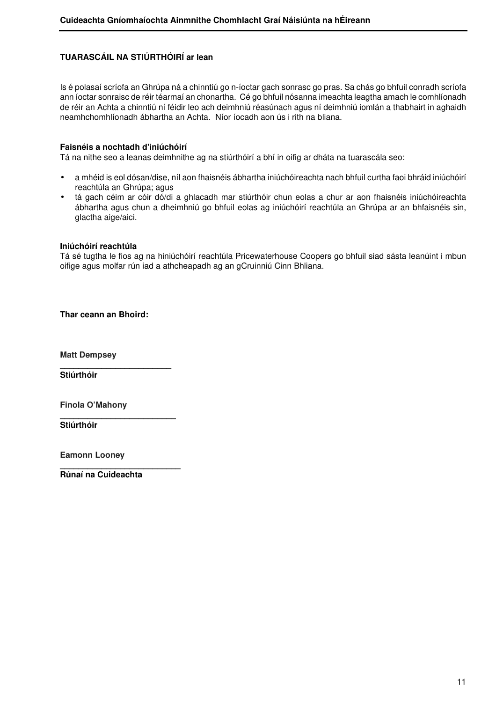Is é polasaí scríofa an Ghrúpa ná a chinntiú go n-íoctar gach sonrasc go pras. Sa chás go bhfuil conradh scríofa ann íoctar sonraisc de réir téarmaí an chonartha. Cé go bhfuil nósanna imeachta leagtha amach le comhlíonadh de réir an Achta a chinntiú ní féidir leo ach deimhniú réasúnach agus ní deimhniú iomlán a thabhairt in aghaidh neamhchomhlíonadh ábhartha an Achta. Níor íocadh aon ús i rith na bliana.

## **Faisnéis a nochtadh d'iniúchóirí**

Tá na nithe seo a leanas deimhnithe ag na stiúrthóirí a bhí in oifig ar dháta na tuarascála seo:

- a mhéid is eol dósan/dise, níl aon fhaisnéis ábhartha iniúchóireachta nach bhfuil curtha faoi bhráid iniúchóirí reachtúla an Ghrúpa; agus
- tá gach céim ar cóir dó/di a ghlacadh mar stiúrthóir chun eolas a chur ar aon fhaisnéis iniúchóireachta ábhartha agus chun a dheimhniú go bhfuil eolas ag iniúchóirí reachtúla an Ghrúpa ar an bhfaisnéis sin, glactha aige/aici.

#### **Iniúchóirí reachtúla**

Tá sé tugtha le fios ag na hiniúchóirí reachtúla Pricewaterhouse Coopers go bhfuil siad sásta leanúint i mbun oifige agus molfar rún iad a athcheapadh ag an gCruinniú Cinn Bhliana.

**Thar ceann an Bhoird:**

**\_\_\_\_\_\_\_\_\_\_\_\_\_\_\_\_\_\_\_\_\_\_\_\_** 

**\_\_\_\_\_\_\_\_\_\_\_\_\_\_\_\_\_\_\_\_\_\_\_\_\_** 

**\_\_\_\_\_\_\_\_\_\_\_\_\_\_\_\_\_\_\_\_\_\_\_\_\_\_** 

**Matt Dempsey** 

**Stiúrthóir** 

**Finola O'Mahony**

**Stiúrthóir** 

**Eamonn Looney** 

**Rúnaí na Cuideachta**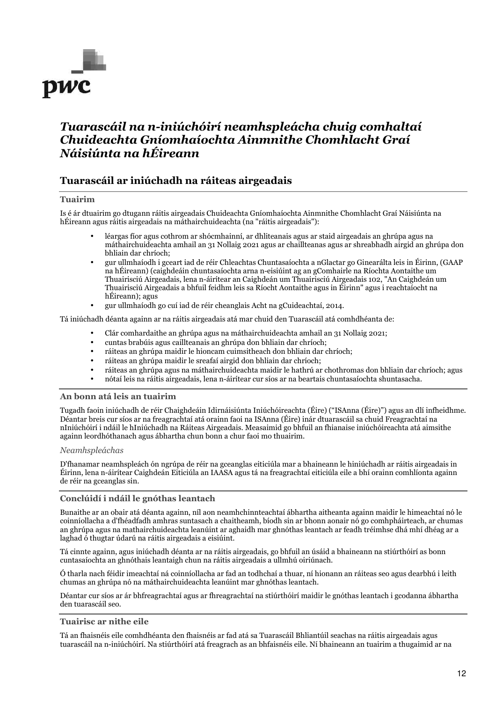

# *Tuarascáil na n-iniúchóirí neamhspleácha chuig comhaltaí Chuideachta Gníomhaíochta Ainmnithe Chomhlacht Graí Náisiúnta na hÉireann*

## **Tuarascáil ar iniúchadh na ráiteas airgeadais**

#### **Tuairim**

Is é ár dtuairim go dtugann ráitis airgeadais Chuideachta Gníomhaíochta Ainmnithe Chomhlacht Graí Náisiúnta na hÉireann agus ráitis airgeadais na máthairchuideachta (na "ráitis airgeadais"):

- léargas fíor agus cothrom ar shócmhainní, ar dhliteanais agus ar staid airgeadais an ghrúpa agus na máthairchuideachta amhail an 31 Nollaig 2021 agus ar chaillteanas agus ar shreabhadh airgid an ghrúpa don bhliain dar chríoch;
- gur ullmhaíodh i gceart iad de réir Chleachtas Chuntasaíochta a nGlactar go Ginearálta leis in Éirinn, (GAAP na hÉireann) (caighdeáin chuntasaíochta arna n-eisiúint ag an gComhairle na Ríochta Aontaithe um Thuairisciú Airgeadais, lena n-áirítear an Caighdeán um Thuairisciú Airgeadais 102, "An Caighdeán um Thuairisciú Airgeadais a bhfuil feidhm leis sa Ríocht Aontaithe agus in Éirinn" agus i reachtaíocht na hÉireann); agus
- gur ullmhaíodh go cuí iad de réir cheanglais Acht na gCuideachtaí, 2014.

Tá iniúchadh déanta againn ar na ráitis airgeadais atá mar chuid den Tuarascáil atá comhdhéanta de:

- Clár comhardaithe an ghrúpa agus na máthairchuideachta amhail an 31 Nollaig 2021;
- cuntas brabúis agus caillteanais an ghrúpa don bhliain dar chríoch;
- ráiteas an ghrúpa maidir le hioncam cuimsitheach don bhliain dar chríoch;
- ráiteas an ghrúpa maidir le sreafaí airgid don bhliain dar chríoch;
- ráiteas an ghrúpa agus na máthairchuideachta maidir le hathrú ar chothromas don bhliain dar chríoch; agus
- nótaí leis na ráitis airgeadais, lena n-áirítear cur síos ar na beartais chuntasaíochta shuntasacha.

#### **An bonn atá leis an tuairim**

Tugadh faoin iniúchadh de réir Chaighdeáin Idirnáisiúnta Iniúchóireachta (Éire) ("ISAnna (Éire)") agus an dlí infheidhme. Déantar breis cur síos ar na freagrachtaí atá orainn faoi na ISAnna (Éire) inár dtuarascáil sa chuid Freagrachtaí na nIniúchóirí i ndáil le hIniúchadh na Ráiteas Airgeadais. Measaimid go bhfuil an fhianaise iniúchóireachta atá aimsithe againn leordhóthanach agus ábhartha chun bonn a chur faoi mo thuairim.

#### *Neamhspleáchas*

D'fhanamar neamhspleách ón ngrúpa de réir na gceanglas eiticiúla mar a bhaineann le hiniúchadh ar ráitis airgeadais in Éirinn, lena n-áirítear Caighdeán Eiticiúla an IAASA agus tá na freagrachtaí eiticiúla eile a bhí orainn comhlíonta againn de réir na gceanglas sin.

#### **Conclúidí i ndáil le gnóthas leantach**

Bunaithe ar an obair atá déanta againn, níl aon neamhchinnteachtaí ábhartha aitheanta againn maidir le himeachtaí nó le coinníollacha a d'fhéadfadh amhras suntasach a chaitheamh, bíodh sin ar bhonn aonair nó go comhpháirteach, ar chumas an ghrúpa agus na mathairchuideachta leanúint ar aghaidh mar ghnóthas leantach ar feadh tréimhse dhá mhí dhéag ar a laghad ó thugtar údarú na ráitis airgeadais a eisiúint.

Tá cinnte againn, agus iniúchadh déanta ar na ráitis airgeadais, go bhfuil an úsáid a bhaineann na stiúrthóirí as bonn cuntasaíochta an ghnóthais leantaigh chun na ráitis airgeadais a ullmhú oiriúnach.

Ó tharla nach féidir imeachtaí ná coinníollacha ar fad an todhchaí a thuar, ní hionann an ráiteas seo agus dearbhú i leith chumas an ghrúpa nó na máthairchuideachta leanúint mar ghnóthas leantach.

Déantar cur síos ar ár bhfreagrachtaí agus ar fhreagrachtaí na stiúrthóirí maidir le gnóthas leantach i gcodanna ábhartha den tuarascáil seo.

#### **Tuairisc ar nithe eile**

Tá an fhaisnéis eile comhdhéanta den fhaisnéis ar fad atá sa Tuarascáil Bhliantúil seachas na ráitis airgeadais agus tuarascáil na n-iniúchóirí. Na stiúrthóirí atá freagrach as an bhfaisnéis eile. Ní bhaineann an tuairim a thugaimid ar na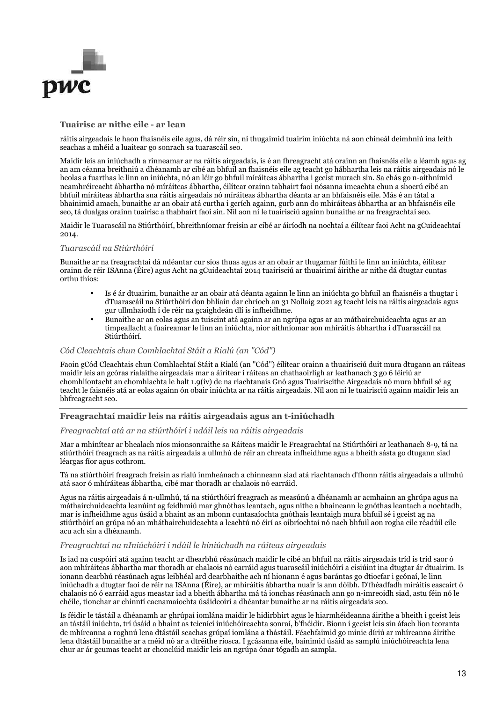

#### **Tuairisc ar nithe eile - ar lean**

ráitis airgeadais le haon fhaisnéis eile agus, dá réir sin, ní thugaimid tuairim iniúchta ná aon chineál deimhniú ina leith seachas a mhéid a luaitear go sonrach sa tuarascáil seo.

Maidir leis an iniúchadh a rinneamar ar na ráitis airgeadais, is é an fhreagracht atá orainn an fhaisnéis eile a léamh agus ag an am céanna breithniú a dhéanamh ar cibé an bhfuil an fhaisnéis eile ag teacht go hábhartha leis na ráitis airgeadais nó le heolas a fuarthas le linn an iniúchta, nó an léir go bhfuil míráiteas ábhartha i gceist murach sin. Sa chás go n-aithnímid neamhréireacht ábhartha nó míráiteas ábhartha, éilítear orainn tabhairt faoi nósanna imeachta chun a shocrú cibé an bhfuil míráiteas ábhartha sna ráitis airgeadais nó míráiteas ábhartha déanta ar an bhfaisnéis eile. Más é an tátal a bhainimid amach, bunaithe ar an obair atá curtha i gcrích againn, gurb ann do mhíráiteas ábhartha ar an bhfaisnéis eile seo, tá dualgas orainn tuairisc a thabhairt faoi sin. Níl aon ní le tuairisciú againn bunaithe ar na freagrachtaí seo.

Maidir le Tuarascáil na Stiúrthóirí, bhreithníomar freisin ar cibé ar áiríodh na nochtaí a éilítear faoi Acht na gCuideachtaí 2014.

#### *Tuarascáil na Stiúrthóirí*

Bunaithe ar na freagrachtaí dá ndéantar cur síos thuas agus ar an obair ar thugamar fúithi le linn an iniúchta, éilítear orainn de réir ISAnna (Éire) agus Acht na gCuideachtaí 2014 tuairisciú ar thuairimí áirithe ar nithe dá dtugtar cuntas orthu thíos:

- Is é ár dtuairim, bunaithe ar an obair atá déanta againn le linn an iniúchta go bhfuil an fhaisnéis a thugtar i dTuarascáil na Stiúrthóirí don bhliain dar chríoch an 31 Nollaig 2021 ag teacht leis na ráitis airgeadais agus gur ullmhaíodh í de réir na gcaighdeán dlí is infheidhme.
- Bunaithe ar an eolas agus an tuiscint atá againn ar an ngrúpa agus ar an máthairchuideachta agus ar an timpeallacht a fuaireamar le linn an iniúchta, níor aithníomar aon mhíráitis ábhartha i dTuarascáil na Stiúrthóirí.

#### *Cód Cleachtais chun Comhlachtaí Stáit a Rialú (an "Cód")*

Faoin gCód Cleachtais chun Comhlachtaí Stáit a Rialú (an "Cód") éilítear orainn a thuairisciú duit mura dtugann an ráiteas maidir leis an gcóras rialaithe airgeadais mar a áirítear i ráiteas an chathaoirligh ar leathanach 3 go 6 léiriú ar chomhlíontacht an chomhlachta le halt 1.9(iv) de na riachtanais Gnó agus Tuairiscithe Airgeadais nó mura bhfuil sé ag teacht le faisnéis atá ar eolas againn ón obair iniúchta ar na ráitis airgeadais. Níl aon ní le tuairisciú againn maidir leis an bhfreagracht seo.

#### **Freagrachtaí maidir leis na ráitis airgeadais agus an t-iniúchadh**

#### *Freagrachtaí atá ar na stiúrthóirí i ndáil leis na ráitis airgeadais*

Mar a mhínítear ar bhealach níos mionsonraithe sa Ráiteas maidir le Freagrachtaí na Stiúrthóirí ar leathanach 8-9, tá na stiúrthóirí freagrach as na ráitis airgeadais a ullmhú de réir an chreata infheidhme agus a bheith sásta go dtugann siad léargas fíor agus cothrom.

Tá na stiúrthóirí freagrach freisin as rialú inmheánach a chinneann siad atá riachtanach d'fhonn ráitis airgeadais a ullmhú atá saor ó mhíráiteas ábhartha, cibé mar thoradh ar chalaois nó earráid.

Agus na ráitis airgeadais á n-ullmhú, tá na stiúrthóirí freagrach as measúnú a dhéanamh ar acmhainn an ghrúpa agus na máthairchuideachta leanúint ag feidhmiú mar ghnóthas leantach, agus nithe a bhaineann le gnóthas leantach a nochtadh, mar is infheidhme agus úsáid a bhaint as an mbonn cuntasaíochta gnóthais leantaigh mura bhfuil sé i gceist ag na stiúrthóirí an grúpa nó an mháthairchuideachta a leachtú nó éirí as oibríochtaí nó nach bhfuil aon rogha eile réadúil eile acu ach sin a dhéanamh.

#### *Freagrachtaí na nIniúchóirí i ndáil le hiniúchadh na ráiteas airgeadais*

Is iad na cuspóirí atá againn teacht ar dhearbhú réasúnach maidir le cibé an bhfuil na ráitis airgeadais tríd is tríd saor ó aon mhíráiteas ábhartha mar thoradh ar chalaois nó earráid agus tuarascáil iniúchóirí a eisiúint ina dtugtar ár dtuairim. Is ionann dearbhú réasúnach agus leibhéal ard dearbhaithe ach ní hionann é agus barántas go dtiocfar i gcónaí, le linn iniúchadh a dtugtar faoi de réir na ISAnna (Éire), ar mhíráitis ábhartha nuair is ann dóibh. D'fhéadfadh míráitis eascairt ó chalaois nó ó earráid agus meastar iad a bheith ábhartha má tá ionchas réasúnach ann go n-imreoidh siad, astu féin nó le chéile, tionchar ar chinntí eacnamaíochta úsáideoirí a dhéantar bunaithe ar na ráitis airgeadais seo.

Is féidir le tástáil a dhéanamh ar ghrúpaí iomlána maidir le hidirbhirt agus le hiarmhéideanna áirithe a bheith i gceist leis an tástáil iniúchta, trí úsáid a bhaint as teicnící iniúchóireachta sonraí, b'fhéidir. Bíonn i gceist leis sin áfach líon teoranta de mhíreanna a roghnú lena dtástáil seachas grúpaí iomlána a thástáil. Féachfaimid go minic díriú ar mhíreanna áirithe lena dtástáil bunaithe ar a méid nó ar a dtréithe riosca. I gcásanna eile, bainimid úsáid as samplú iniúchóireachta lena chur ar ár gcumas teacht ar chonclúid maidir leis an ngrúpa ónar tógadh an sampla.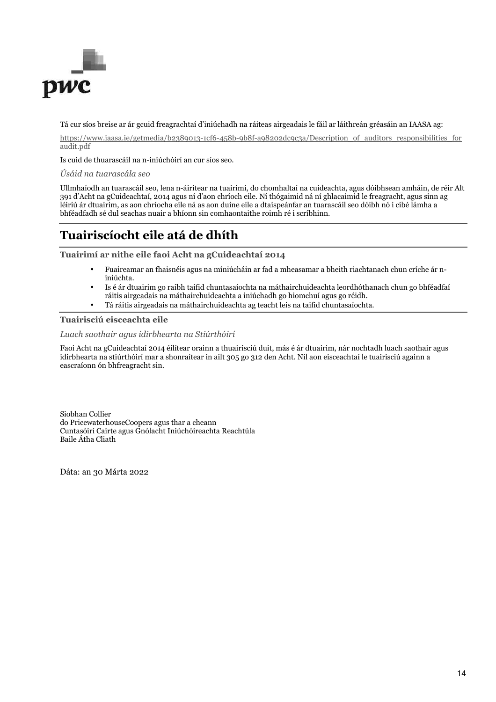

Tá cur síos breise ar ár gcuid freagrachtaí d'iniúchadh na ráiteas airgeadais le fáil ar láithreán gréasáin an IAASA ag:

https://www.iaasa.ie/getmedia/b2389013-1cf6-458b-9b8f-a98202dc9c3a/Description of auditors responsibilities for audit.pdf

Is cuid de thuarascáil na n-iniúchóirí an cur síos seo.

*Úsáid na tuarascála seo* 

Ullmhaíodh an tuarascáil seo, lena n-áirítear na tuairimí, do chomhaltaí na cuideachta, agus dóibhsean amháin, de réir Alt 391 d'Acht na gCuideachtaí, 2014 agus ní d'aon chríoch eile. Ní thógaimid ná ní ghlacaimid le freagracht, agus sinn ag léiriú ár dtuairim, as aon chríocha eile ná as aon duine eile a dtaispeánfar an tuarascáil seo dóibh nó i cibé lámha a bhféadfadh sé dul seachas nuair a bhíonn sin comhaontaithe roimh ré i scríbhinn.

# **Tuairiscíocht eile atá de dhíth**

**Tuairimí ar nithe eile faoi Acht na gCuideachtaí 2014** 

- Fuaireamar an fhaisnéis agus na míniúcháin ar fad a mheasamar a bheith riachtanach chun críche ár niniúchta.
- Is é ár dtuairim go raibh taifid chuntasaíochta na máthairchuideachta leordhóthanach chun go bhféadfaí ráitis airgeadais na máthairchuideachta a iniúchadh go hiomchuí agus go réidh.
- Tá ráitis airgeadais na máthairchuideachta ag teacht leis na taifid chuntasaíochta.

#### **Tuairisciú eisceachta eile**

*Luach saothair agus idirbhearta na Stiúrthóirí* 

Faoi Acht na gCuideachtaí 2014 éilítear orainn a thuairisciú duit, más é ár dtuairim, nár nochtadh luach saothair agus idirbhearta na stiúrthóirí mar a shonraítear in ailt 305 go 312 den Acht. Níl aon eisceachtaí le tuairisciú againn a eascraíonn ón bhfreagracht sin.

Siobhan Collier do PricewaterhouseCoopers agus thar a cheann Cuntasóirí Cairte agus Gnólacht Iniúchóireachta Reachtúla Baile Átha Cliath

Dáta: an 30 Márta 2022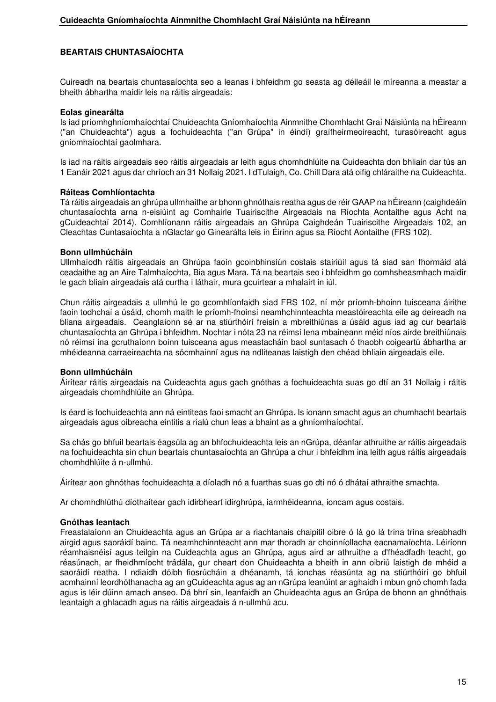## **BEARTAIS CHUNTASAÍOCHTA**

Cuireadh na beartais chuntasaíochta seo a leanas i bhfeidhm go seasta ag déileáil le míreanna a meastar a bheith ábhartha maidir leis na ráitis airgeadais:

#### **Eolas ginearálta**

Is iad príomhghníomhaíochtaí Chuideachta Gníomhaíochta Ainmnithe Chomhlacht Graí Náisiúnta na hÉireann ("an Chuideachta") agus a fochuideachta ("an Grúpa" in éindí) graífheirmeoireacht, turasóireacht agus gníomhaíochtaí gaolmhara.

Is iad na ráitis airgeadais seo ráitis airgeadais ar leith agus chomhdhlúite na Cuideachta don bhliain dar tús an 1 Eanáir 2021 agus dar chríoch an 31 Nollaig 2021. I dTulaigh, Co. Chill Dara atá oifig chláraithe na Cuideachta.

#### **Ráiteas Comhlíontachta**

Tá ráitis airgeadais an ghrúpa ullmhaithe ar bhonn ghnóthais reatha agus de réir GAAP na hÉireann (caighdeáin chuntasaíochta arna n-eisiúint ag Comhairle Tuairiscithe Airgeadais na Ríochta Aontaithe agus Acht na gCuideachtaí 2014). Comhlíonann ráitis airgeadais an Ghrúpa Caighdeán Tuairiscithe Airgeadais 102, an Cleachtas Cuntasaíochta a nGlactar go Ginearálta leis in Éirinn agus sa Ríocht Aontaithe (FRS 102).

#### **Bonn ullmhúcháin**

Ullmhaíodh ráitis airgeadais an Ghrúpa faoin gcoinbhinsiún costais stairiúil agus tá siad san fhormáid atá ceadaithe ag an Aire Talmhaíochta, Bia agus Mara. Tá na beartais seo i bhfeidhm go comhsheasmhach maidir le gach bliain airgeadais atá curtha i láthair, mura gcuirtear a mhalairt in iúl.

Chun ráitis airgeadais a ullmhú le go gcomhlíonfaidh siad FRS 102, ní mór príomh-bhoinn tuisceana áirithe faoin todhchaí a úsáid, chomh maith le príomh-fhoinsí neamhchinnteachta meastóireachta eile ag deireadh na bliana airgeadais. Ceanglaíonn sé ar na stiúrthóirí freisin a mbreithiúnas a úsáid agus iad ag cur beartais chuntasaíochta an Ghrúpa i bhfeidhm. Nochtar i nóta 23 na réimsí lena mbaineann méid níos airde breithiúnais nó réimsí ina gcruthaíonn boinn tuisceana agus meastacháin baol suntasach ó thaobh coigeartú ábhartha ar mhéideanna carraeireachta na sócmhainní agus na ndliteanas laistigh den chéad bhliain airgeadais eile.

#### **Bonn ullmhúcháin**

Áirítear ráitis airgeadais na Cuideachta agus gach gnóthas a fochuideachta suas go dtí an 31 Nollaig i ráitis airgeadais chomhdhlúite an Ghrúpa.

Is éard is fochuideachta ann ná eintiteas faoi smacht an Ghrúpa. Is ionann smacht agus an chumhacht beartais airgeadais agus oibreacha eintitis a rialú chun leas a bhaint as a ghníomhaíochtaí.

Sa chás go bhfuil beartais éagsúla ag an bhfochuideachta leis an nGrúpa, déanfar athruithe ar ráitis airgeadais na fochuideachta sin chun beartais chuntasaíochta an Ghrúpa a chur i bhfeidhm ina leith agus ráitis airgeadais chomhdhlúite á n-ullmhú.

Áirítear aon ghnóthas fochuideachta a díoladh nó a fuarthas suas go dtí nó ó dhátaí athraithe smachta.

Ar chomhdhlúthú díothaítear gach idirbheart idirghrúpa, iarmhéideanna, ioncam agus costais.

## **Gnóthas leantach**

Freastalaíonn an Chuideachta agus an Grúpa ar a riachtanais chaipitil oibre ó lá go lá trína trína sreabhadh airgid agus saoráidí bainc. Tá neamhchinnteacht ann mar thoradh ar choinníollacha eacnamaíochta. Léiríonn réamhaisnéisí agus teilgin na Cuideachta agus an Ghrúpa, agus aird ar athruithe a d'fhéadfadh teacht, go réasúnach, ar fheidhmíocht trádála, gur cheart don Chuideachta a bheith in ann oibriú laistigh de mhéid a saoráidí reatha. I ndiaidh dóibh fiosrúcháin a dhéanamh, tá ionchas réasúnta ag na stiúrthóirí go bhfuil acmhainní leordhóthanacha ag an gCuideachta agus ag an nGrúpa leanúint ar aghaidh i mbun gnó chomh fada agus is léir dúinn amach anseo. Dá bhrí sin, leanfaidh an Chuideachta agus an Grúpa de bhonn an ghnóthais leantaigh a ghlacadh agus na ráitis airgeadais á n-ullmhú acu.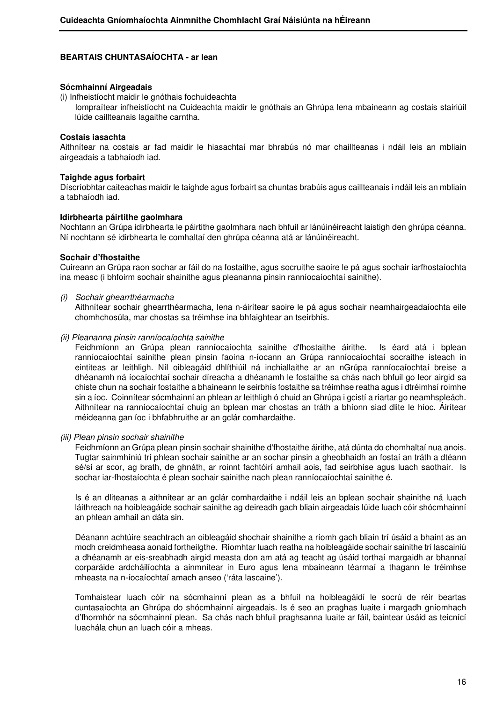#### **Sócmhainní Airgeadais**

(i) Infheistíocht maidir le gnóthais fochuideachta

Iompraítear infheistíocht na Cuideachta maidir le gnóthais an Ghrúpa lena mbaineann ag costais stairiúil lúide caillteanais lagaithe carntha.

#### **Costais iasachta**

Aithnítear na costais ar fad maidir le hiasachtaí mar bhrabús nó mar chaillteanas i ndáil leis an mbliain airgeadais a tabhaíodh iad.

#### **Taighde agus forbairt**

Díscríobhtar caiteachas maidir le taighde agus forbairt sa chuntas brabúis agus caillteanais i ndáil leis an mbliain a tabhaíodh iad.

#### **Idirbhearta páirtithe gaolmhara**

Nochtann an Grúpa idirbhearta le páirtithe gaolmhara nach bhfuil ar lánúinéireacht laistigh den ghrúpa céanna. Ní nochtann sé idirbhearta le comhaltaí den ghrúpa céanna atá ar lánúinéireacht.

#### **Sochair d'fhostaithe**

Cuireann an Grúpa raon sochar ar fáil do na fostaithe, agus socruithe saoire le pá agus sochair iarfhostaíochta ina measc (i bhfoirm sochair shainithe agus pleananna pinsin ranníocaíochtaí sainithe).

#### (i) Sochair ghearrthéarmacha

 Aithnítear sochair ghearrthéarmacha, lena n-áirítear saoire le pá agus sochair neamhairgeadaíochta eile chomhchosúla, mar chostas sa tréimhse ina bhfaightear an tseirbhís.

#### (ii) Pleananna pinsin ranníocaíochta sainithe

 Feidhmíonn an Grúpa plean ranníocaíochta sainithe d'fhostaithe áirithe. Is éard atá i bplean ranníocaíochtaí sainithe plean pinsin faoina n-íocann an Grúpa ranníocaíochtaí socraithe isteach in eintiteas ar leithligh. Níl oibleagáid dhlíthiúil ná inchiallaithe ar an nGrúpa ranníocaíochtaí breise a dhéanamh ná íocaíochtaí sochair díreacha a dhéanamh le fostaithe sa chás nach bhfuil go leor airgid sa chiste chun na sochair fostaithe a bhaineann le seirbhís fostaithe sa tréimhse reatha agus i dtréimhsí roimhe sin a íoc. Coinnítear sócmhainní an phlean ar leithligh ó chuid an Ghrúpa i gcistí a riartar go neamhspleách. Aithnítear na ranníocaíochtaí chuig an bplean mar chostas an tráth a bhíonn siad dlite le híoc. Áirítear méideanna gan íoc i bhfabhruithe ar an gclár comhardaithe.

#### (iii) Plean pinsin sochair shainithe

 Feidhmíonn an Grúpa plean pinsin sochair shainithe d'fhostaithe áirithe, atá dúnta do chomhaltaí nua anois. Tugtar sainmhíniú trí phlean sochair sainithe ar an sochar pinsin a gheobhaidh an fostaí an tráth a dtéann sé/sí ar scor, ag brath, de ghnáth, ar roinnt fachtóirí amhail aois, fad seirbhíse agus luach saothair. Is sochar iar-fhostaíochta é plean sochair sainithe nach plean ranníocaíochtaí sainithe é.

 Is é an dliteanas a aithnítear ar an gclár comhardaithe i ndáil leis an bplean sochair shainithe ná luach láithreach na hoibleagáide sochair sainithe ag deireadh gach bliain airgeadais lúide luach cóir shócmhainní an phlean amhail an dáta sin.

 Déanann achtúire seachtrach an oibleagáid shochair shainithe a ríomh gach bliain trí úsáid a bhaint as an modh creidmheasa aonaid fortheilgthe. Ríomhtar luach reatha na hoibleagáide sochair sainithe trí lascainiú a dhéanamh ar eis-sreabhadh airgid measta don am atá ag teacht ag úsáid torthaí margaidh ar bhannaí corparáide ardcháilíochta a ainmnítear in Euro agus lena mbaineann téarmaí a thagann le tréimhse mheasta na n-íocaíochtaí amach anseo ('ráta lascaine').

 Tomhaistear luach cóir na sócmhainní plean as a bhfuil na hoibleagáidí le socrú de réir beartas cuntasaíochta an Ghrúpa do shócmhainní airgeadais. Is é seo an praghas luaite i margadh gníomhach d'fhormhór na sócmhainní plean. Sa chás nach bhfuil praghsanna luaite ar fáil, baintear úsáid as teicnící luachála chun an luach cóir a mheas.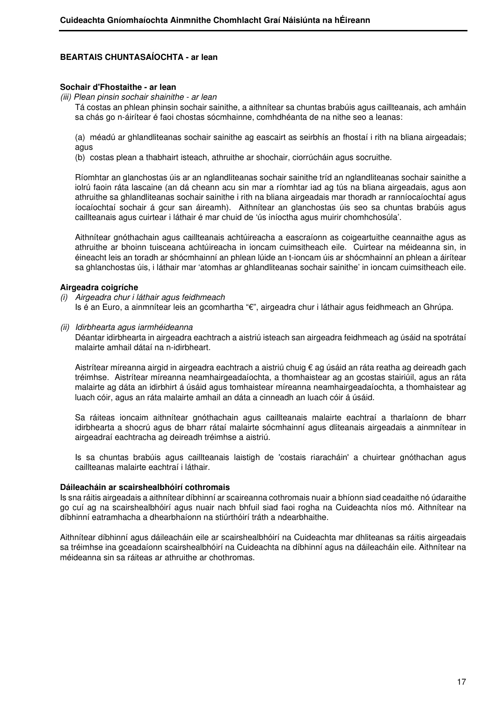## **Sochair d'Fhostaithe - ar lean**

(iii) Plean pinsin sochair shainithe - ar lean

 Tá costas an phlean phinsin sochair sainithe, a aithnítear sa chuntas brabúis agus caillteanais, ach amháin sa chás go n-áirítear é faoi chostas sócmhainne, comhdhéanta de na nithe seo a leanas:

 (a) méadú ar ghlandliteanas sochair sainithe ag eascairt as seirbhís an fhostaí i rith na bliana airgeadais; agus

(b) costas plean a thabhairt isteach, athruithe ar shochair, ciorrúcháin agus socruithe.

 Ríomhtar an glanchostas úis ar an nglandliteanas sochair sainithe tríd an nglandliteanas sochair sainithe a iolrú faoin ráta lascaine (an dá cheann acu sin mar a ríomhtar iad ag tús na bliana airgeadais, agus aon athruithe sa ghlandliteanas sochair sainithe i rith na bliana airgeadais mar thoradh ar ranníocaíochtaí agus íocaíochtaí sochair á gcur san áireamh). Aithnítear an glanchostas úis seo sa chuntas brabúis agus caillteanais agus cuirtear i láthair é mar chuid de 'ús iníoctha agus muirir chomhchosúla'.

 Aithnítear gnóthachain agus caillteanais achtúireacha a eascraíonn as coigeartuithe ceannaithe agus as athruithe ar bhoinn tuisceana achtúireacha in ioncam cuimsitheach eile. Cuirtear na méideanna sin, in éineacht leis an toradh ar shócmhainní an phlean lúide an t-ioncam úis ar shócmhainní an phlean a áirítear sa ghlanchostas úis, i láthair mar 'atomhas ar ghlandliteanas sochair sainithe' in ioncam cuimsitheach eile.

## **Airgeadra coigríche**

- (i) Airgeadra chur i láthair agus feidhmeach Is é an Euro, a ainmnítear leis an gcomhartha "€", airgeadra chur i láthair agus feidhmeach an Ghrúpa.
- (ii) Idirbhearta agus iarmhéideanna

 Déantar idirbhearta in airgeadra eachtrach a aistriú isteach san airgeadra feidhmeach ag úsáid na spotrátaí malairte amhail dátaí na n-idirbheart.

Aistrítear míreanna airgid in airgeadra eachtrach a aistriú chuig € ag úsáid an ráta reatha ag deireadh gach tréimhse. Aistrítear míreanna neamhairgeadaíochta, a thomhaistear ag an gcostas stairiúil, agus an ráta malairte ag dáta an idirbhirt á úsáid agus tomhaistear míreanna neamhairgeadaíochta, a thomhaistear ag luach cóir, agus an ráta malairte amhail an dáta a cinneadh an luach cóir á úsáid.

Sa ráiteas ioncaim aithnítear gnóthachain agus caillteanais malairte eachtraí a tharlaíonn de bharr idirbhearta a shocrú agus de bharr rátaí malairte sócmhainní agus dliteanais airgeadais a ainmnítear in airgeadraí eachtracha ag deireadh tréimhse a aistriú.

Is sa chuntas brabúis agus caillteanais laistigh de 'costais riaracháin' a chuirtear gnóthachan agus caillteanas malairte eachtraí i láthair.

## **Dáileacháin ar scairshealbhóirí cothromais**

Is sna ráitis airgeadais a aithnítear díbhinní ar scaireanna cothromais nuair a bhíonn siad ceadaithe nó údaraithe go cuí ag na scairshealbhóirí agus nuair nach bhfuil siad faoi rogha na Cuideachta níos mó. Aithnítear na díbhinní eatramhacha a dhearbhaíonn na stiúrthóirí tráth a ndearbhaithe.

Aithnítear díbhinní agus dáileacháin eile ar scairshealbhóirí na Cuideachta mar dhliteanas sa ráitis airgeadais sa tréimhse ina gceadaíonn scairshealbhóirí na Cuideachta na díbhinní agus na dáileacháin eile. Aithnítear na méideanna sin sa ráiteas ar athruithe ar chothromas.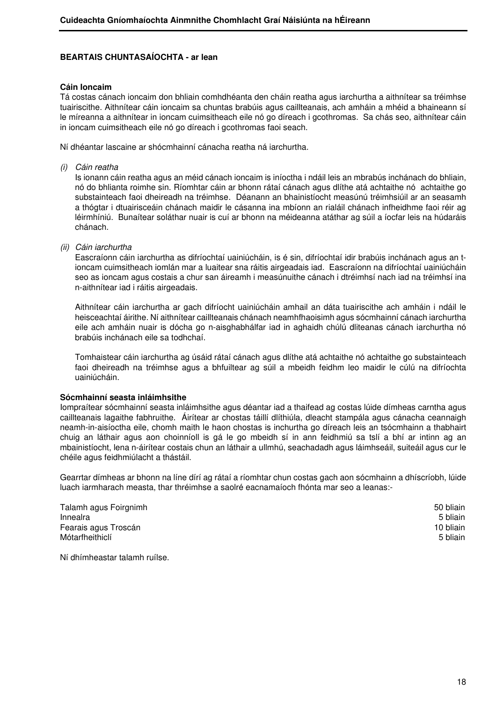## **Cáin Ioncaim**

Tá costas cánach ioncaim don bhliain comhdhéanta den cháin reatha agus iarchurtha a aithnítear sa tréimhse tuairiscithe. Aithnítear cáin ioncaim sa chuntas brabúis agus caillteanais, ach amháin a mhéid a bhaineann sí le míreanna a aithnítear in ioncam cuimsitheach eile nó go díreach i gcothromas. Sa chás seo, aithnítear cáin in ioncam cuimsitheach eile nó go díreach i gcothromas faoi seach.

Ní dhéantar lascaine ar shócmhainní cánacha reatha ná iarchurtha.

(i) Cáin reatha

 Is ionann cáin reatha agus an méid cánach ioncaim is iníoctha i ndáil leis an mbrabús inchánach do bhliain, nó do bhlianta roimhe sin. Ríomhtar cáin ar bhonn rátaí cánach agus dlíthe atá achtaithe nó achtaithe go substainteach faoi dheireadh na tréimhse. Déanann an bhainistíocht measúnú tréimhsiúil ar an seasamh a thógtar i dtuairisceáin chánach maidir le cásanna ina mbíonn an rialáil chánach infheidhme faoi réir ag léirmhíniú. Bunaítear soláthar nuair is cuí ar bhonn na méideanna atáthar ag súil a íocfar leis na húdaráis chánach.

(ii) Cáin iarchurtha

 Eascraíonn cáin iarchurtha as difríochtaí uainiúcháin, is é sin, difríochtaí idir brabúis inchánach agus an tioncam cuimsitheach iomlán mar a luaitear sna ráitis airgeadais iad. Eascraíonn na difríochtaí uainiúcháin seo as ioncam agus costais a chur san áireamh i measúnuithe cánach i dtréimhsí nach iad na tréimhsí ina n-aithnítear iad i ráitis airgeadais.

 Aithnítear cáin iarchurtha ar gach difríocht uainiúcháin amhail an dáta tuairiscithe ach amháin i ndáil le heisceachtaí áirithe. Ní aithnítear caillteanais chánach neamhfhaoisimh agus sócmhainní cánach iarchurtha eile ach amháin nuair is dócha go n-aisghabhálfar iad in aghaidh chúlú dliteanas cánach iarchurtha nó brabúis inchánach eile sa todhchaí.

 Tomhaistear cáin iarchurtha ag úsáid rátaí cánach agus dlíthe atá achtaithe nó achtaithe go substainteach faoi dheireadh na tréimhse agus a bhfuiltear ag súil a mbeidh feidhm leo maidir le cúlú na difríochta uainiúcháin.

#### **Sócmhainní seasta inláimhsithe**

Iompraítear sócmhainní seasta inláimhsithe agus déantar iad a thaifead ag costas lúide dímheas carntha agus caillteanais lagaithe fabhruithe. Áirítear ar chostas táillí dlíthiúla, dleacht stampála agus cánacha ceannaigh neamh-in-aisíoctha eile, chomh maith le haon chostas is inchurtha go díreach leis an tsócmhainn a thabhairt chuig an láthair agus aon choinníoll is gá le go mbeidh sí in ann feidhmiú sa tslí a bhí ar intinn ag an mbainistíocht, lena n-áirítear costais chun an láthair a ullmhú, seachadadh agus láimhseáil, suiteáil agus cur le chéile agus feidhmiúlacht a thástáil.

Gearrtar dímheas ar bhonn na líne dírí ag rátaí a ríomhtar chun costas gach aon sócmhainn a dhíscríobh, lúide luach iarmharach measta, thar thréimhse a saolré eacnamaíoch fhónta mar seo a leanas:-

| Talamh agus Foirgnimh | 50 bliain |
|-----------------------|-----------|
| Innealra              | 5 bliain  |
| Fearais agus Troscán  | 10 bliain |
| Mótarfheithiclí       | 5 bliain  |

Ní dhímheastar talamh ruílse.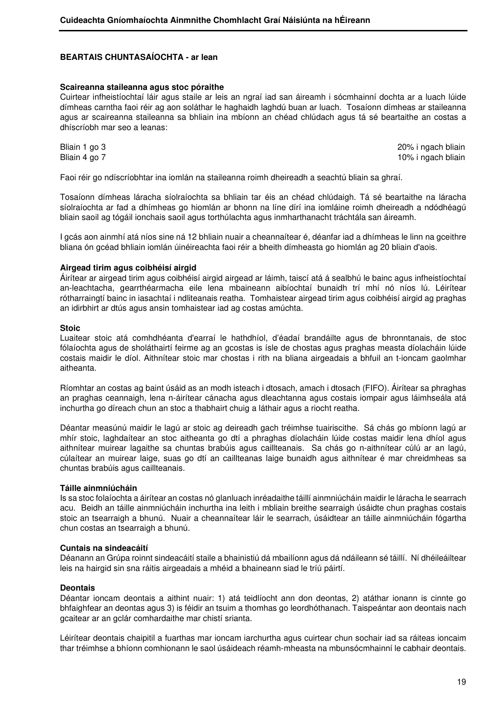#### **Scaireanna staileanna agus stoc póraithe**

Cuirtear infheistíochtaí láir agus staile ar leis an ngraí iad san áireamh i sócmhainní dochta ar a luach lúide dímheas carntha faoi réir ag aon soláthar le haghaidh laghdú buan ar luach. Tosaíonn dímheas ar staileanna agus ar scaireanna staileanna sa bhliain ina mbíonn an chéad chlúdach agus tá sé beartaithe an costas a dhíscríobh mar seo a leanas:

Bliain 1 go 3 20% i ngach bliain Bliain 4 go 7 10% i ngach bliain

Faoi réir go ndíscríobhtar ina iomlán na staileanna roimh dheireadh a seachtú bliain sa ghraí.

Tosaíonn dímheas láracha síolraíochta sa bhliain tar éis an chéad chlúdaigh. Tá sé beartaithe na láracha síolraíochta ar fad a dhímheas go hiomlán ar bhonn na líne dírí ina iomláine roimh dheireadh a ndódhéagú bliain saoil ag tógáil ionchais saoil agus torthúlachta agus inmharthanacht tráchtála san áireamh.

I gcás aon ainmhí atá níos sine ná 12 bhliain nuair a cheannaítear é, déanfar iad a dhímheas le linn na gceithre bliana ón gcéad bhliain iomlán úinéireachta faoi réir a bheith dímheasta go hiomlán ag 20 bliain d'aois.

#### **Airgead tirim agus coibhéisí airgid**

Áirítear ar airgead tirim agus coibhéisí airgid airgead ar láimh, taiscí atá á sealbhú le bainc agus infheistíochtaí an-leachtacha, gearrthéarmacha eile lena mbaineann aibíochtaí bunaidh trí mhí nó níos lú. Léirítear rótharraingtí bainc in iasachtaí i ndliteanais reatha. Tomhaistear airgead tirim agus coibhéisí airgid ag praghas an idirbhirt ar dtús agus ansin tomhaistear iad ag costas amúchta.

#### **Stoic**

Luaitear stoic atá comhdhéanta d'earraí le hathdhíol, d'éadaí brandáilte agus de bhronntanais, de stoc fólaíochta agus de sholáthairtí feirme ag an gcostas is ísle de chostas agus praghas measta díolacháin lúide costais maidir le díol. Aithnítear stoic mar chostas i rith na bliana airgeadais a bhfuil an t-ioncam gaolmhar aitheanta.

Ríomhtar an costas ag baint úsáid as an modh isteach i dtosach, amach i dtosach (FIFO). Áirítear sa phraghas an praghas ceannaigh, lena n-áirítear cánacha agus dleachtanna agus costais iompair agus láimhseála atá inchurtha go díreach chun an stoc a thabhairt chuig a láthair agus a riocht reatha.

Déantar measúnú maidir le lagú ar stoic ag deireadh gach tréimhse tuairiscithe. Sá chás go mbíonn lagú ar mhír stoic, laghdaítear an stoc aitheanta go dtí a phraghas díolacháin lúide costas maidir lena dhíol agus aithnítear muirear lagaithe sa chuntas brabúis agus caillteanais. Sa chás go n-aithnítear cúlú ar an lagú, cúlaítear an muirear laige, suas go dtí an caillteanas laige bunaidh agus aithnítear é mar chreidmheas sa chuntas brabúis agus caillteanais.

#### **Táille ainmniúcháin**

Is sa stoc folaíochta a áirítear an costas nó glanluach inréadaithe táillí ainmniúcháin maidir le láracha le searrach acu. Beidh an táille ainmniúcháin inchurtha ina leith i mbliain breithe searraigh úsáidte chun praghas costais stoic an tsearraigh a bhunú. Nuair a cheannaítear láir le searrach, úsáidtear an táille ainmniúcháin fógartha chun costas an tsearraigh a bhunú.

#### **Cuntais na sindeacáití**

Déanann an Grúpa roinnt sindeacáití staile a bhainistiú dá mbailíonn agus dá ndáileann sé táillí. Ní dhéileáiltear leis na hairgid sin sna ráitis airgeadais a mhéid a bhaineann siad le tríú páirtí.

## **Deontais**

Déantar ioncam deontais a aithint nuair: 1) atá teidlíocht ann don deontas, 2) atáthar ionann is cinnte go bhfaighfear an deontas agus 3) is féidir an tsuim a thomhas go leordhóthanach. Taispeántar aon deontais nach gcaitear ar an gclár comhardaithe mar chistí srianta.

Léirítear deontais chaipitil a fuarthas mar ioncam iarchurtha agus cuirtear chun sochair iad sa ráiteas ioncaim thar tréimhse a bhíonn comhionann le saol úsáideach réamh-mheasta na mbunsócmhainní le cabhair deontais.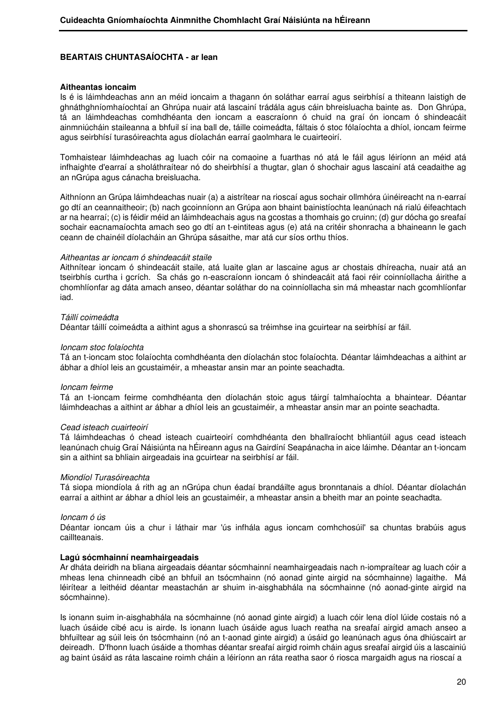### **Aitheantas ioncaim**

Is é is láimhdeachas ann an méid ioncaim a thagann ón soláthar earraí agus seirbhísí a thiteann laistigh de ghnáthghníomhaíochtaí an Ghrúpa nuair atá lascainí trádála agus cáin bhreisluacha bainte as. Don Ghrúpa, tá an láimhdeachas comhdhéanta den ioncam a eascraíonn ó chuid na graí ón ioncam ó shindeacáit ainmniúcháin staileanna a bhfuil sí ina ball de, táille coimeádta, fáltais ó stoc fólaíochta a dhíol, ioncam feirme agus seirbhísí turasóireachta agus díolachán earraí gaolmhara le cuairteoirí.

Tomhaistear láimhdeachas ag luach cóir na comaoine a fuarthas nó atá le fáil agus léiríonn an méid atá infhaighte d'earraí a sholáthraítear nó do sheirbhísí a thugtar, glan ó shochair agus lascainí atá ceadaithe ag an nGrúpa agus cánacha breisluacha.

Aithníonn an Grúpa láimhdeachas nuair (a) a aistrítear na rioscaí agus sochair ollmhóra úinéireacht na n-earraí go dtí an ceannaitheoir; (b) nach gcoinníonn an Grúpa aon bhaint bainistíochta leanúnach ná rialú éifeachtach ar na hearraí; (c) is féidir méid an láimhdeachais agus na gcostas a thomhais go cruinn; (d) gur dócha go sreafaí sochair eacnamaíochta amach seo go dtí an t-eintiteas agus (e) atá na critéir shonracha a bhaineann le gach ceann de chainéil díolacháin an Ghrúpa sásaithe, mar atá cur síos orthu thíos.

#### Aitheantas ar ioncam ó shindeacáit staile

Aithnítear ioncam ó shindeacáit staile, atá luaite glan ar lascaine agus ar chostais dhíreacha, nuair atá an tseirbhís curtha i gcrích. Sa chás go n-eascraíonn ioncam ó shindeacáit atá faoi réir coinníollacha áirithe a chomhlíonfar ag dáta amach anseo, déantar soláthar do na coinníollacha sin má mheastar nach gcomhlíonfar iad.

#### Táillí coimeádta

Déantar táillí coimeádta a aithint agus a shonrascú sa tréimhse ina gcuirtear na seirbhísí ar fáil.

#### Ioncam stoc folaíochta

Tá an t-ioncam stoc folaíochta comhdhéanta den díolachán stoc folaíochta. Déantar láimhdeachas a aithint ar ábhar a dhíol leis an gcustaiméir, a mheastar ansin mar an pointe seachadta.

#### Ioncam feirme

Tá an t-ioncam feirme comhdhéanta den díolachán stoic agus táirgí talmhaíochta a bhaintear. Déantar láimhdeachas a aithint ar ábhar a dhíol leis an gcustaiméir, a mheastar ansin mar an pointe seachadta.

#### Cead isteach cuairteoirí

Tá láimhdeachas ó chead isteach cuairteoirí comhdhéanta den bhallraíocht bhliantúil agus cead isteach leanúnach chuig Graí Náisiúnta na hÉireann agus na Gairdíní Seapánacha in aice láimhe. Déantar an t-ioncam sin a aithint sa bhliain airgeadais ina gcuirtear na seirbhísí ar fáil.

#### Miondíol Turasóireachta

Tá siopa miondíola á rith ag an nGrúpa chun éadaí brandáilte agus bronntanais a dhíol. Déantar díolachán earraí a aithint ar ábhar a dhíol leis an gcustaiméir, a mheastar ansin a bheith mar an pointe seachadta.

#### Ioncam ó ús

Déantar ioncam úis a chur i láthair mar 'ús infhála agus ioncam comhchosúil' sa chuntas brabúis agus caillteanais.

#### **Lagú sócmhainní neamhairgeadais**

Ar dháta deiridh na bliana airgeadais déantar sócmhainní neamhairgeadais nach n-iompraítear ag luach cóir a mheas lena chinneadh cibé an bhfuil an tsócmhainn (nó aonad ginte airgid na sócmhainne) lagaithe. Má léirítear a leithéid déantar meastachán ar shuim in-aisghabhála na sócmhainne (nó aonad-ginte airgid na sócmhainne).

Is ionann suim in-aisghabhála na sócmhainne (nó aonad ginte airgid) a luach cóir lena díol lúide costais nó a luach úsáide cibé acu is airde. Is ionann luach úsáide agus luach reatha na sreafaí airgid amach anseo a bhfuiltear ag súil leis ón tsócmhainn (nó an t-aonad ginte airgid) a úsáid go leanúnach agus óna dhiúscairt ar deireadh. D'fhonn luach úsáide a thomhas déantar sreafaí airgid roimh cháin agus sreafaí airgid úis a lascainiú ag baint úsáid as ráta lascaine roimh cháin a léiríonn an ráta reatha saor ó riosca margaidh agus na rioscaí a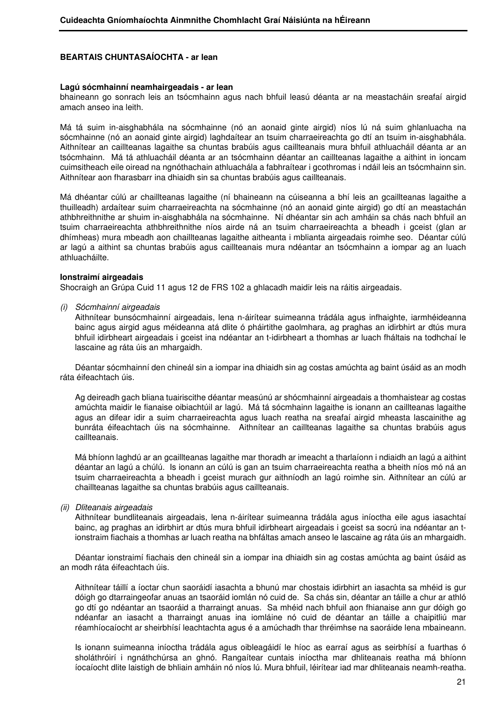#### **Lagú sócmhainní neamhairgeadais - ar lean**

bhaineann go sonrach leis an tsócmhainn agus nach bhfuil leasú déanta ar na meastacháin sreafaí airgid amach anseo ina leith.

Má tá suim in-aisghabhála na sócmhainne (nó an aonaid ginte airgid) níos lú ná suim ghlanluacha na sócmhainne (nó an aonaid ginte airgid) laghdaítear an tsuim charraeireachta go dtí an tsuim in-aisghabhála. Aithnítear an caillteanas lagaithe sa chuntas brabúis agus caillteanais mura bhfuil athluacháil déanta ar an tsócmhainn. Má tá athluacháil déanta ar an tsócmhainn déantar an caillteanas lagaithe a aithint in ioncam cuimsitheach eile oiread na ngnóthachain athluachála a fabhraítear i gcothromas i ndáil leis an tsócmhainn sin. Aithnítear aon fharasbarr ina dhiaidh sin sa chuntas brabúis agus caillteanais.

Má dhéantar cúlú ar chaillteanas lagaithe (ní bhaineann na cúiseanna a bhí leis an gcaillteanas lagaithe a thuilleadh) ardaítear suim charraeireachta na sócmhainne (nó an aonaid ginte airgid) go dtí an meastachán athbhreithnithe ar shuim in-aisghabhála na sócmhainne. Ní dhéantar sin ach amháin sa chás nach bhfuil an tsuim charraeireachta athbhreithnithe níos airde ná an tsuim charraeireachta a bheadh i gceist (glan ar dhímheas) mura mbeadh aon chaillteanas lagaithe aitheanta i mblianta airgeadais roimhe seo. Déantar cúlú ar lagú a aithint sa chuntas brabúis agus caillteanais mura ndéantar an tsócmhainn a iompar ag an luach athluacháilte.

#### **Ionstraimí airgeadais**

Shocraigh an Grúpa Cuid 11 agus 12 de FRS 102 a ghlacadh maidir leis na ráitis airgeadais.

(i) Sócmhainní airgeadais

 Aithnítear bunsócmhainní airgeadais, lena n-áirítear suimeanna trádála agus infhaighte, iarmhéideanna bainc agus airgid agus méideanna atá dlite ó pháirtithe gaolmhara, ag praghas an idirbhirt ar dtús mura bhfuil idirbheart airgeadais i gceist ina ndéantar an t-idirbheart a thomhas ar luach fháltais na todhchaí le lascaine ag ráta úis an mhargaidh.

 Déantar sócmhainní den chineál sin a iompar ina dhiaidh sin ag costas amúchta ag baint úsáid as an modh ráta éifeachtach úis.

 Ag deireadh gach bliana tuairiscithe déantar measúnú ar shócmhainní airgeadais a thomhaistear ag costas amúchta maidir le fianaise oibiachtúil ar lagú. Má tá sócmhainn lagaithe is ionann an caillteanas lagaithe agus an difear idir a suim charraeireachta agus luach reatha na sreafaí airgid mheasta lascainithe ag bunráta éifeachtach úis na sócmhainne. Aithnítear an caillteanas lagaithe sa chuntas brabúis agus caillteanais.

 Má bhíonn laghdú ar an gcaillteanas lagaithe mar thoradh ar imeacht a tharlaíonn i ndiaidh an lagú a aithint déantar an lagú a chúlú. Is ionann an cúlú is gan an tsuim charraeireachta reatha a bheith níos mó ná an tsuim charraeireachta a bheadh i gceist murach gur aithníodh an lagú roimhe sin. Aithnítear an cúlú ar chaillteanas lagaithe sa chuntas brabúis agus caillteanais.

#### (ii) Dliteanais airgeadais

 Aithnítear bundliteanais airgeadais, lena n-áirítear suimeanna trádála agus iníoctha eile agus iasachtaí bainc, ag praghas an idirbhirt ar dtús mura bhfuil idirbheart airgeadais i gceist sa socrú ina ndéantar an tionstraim fiachais a thomhas ar luach reatha na bhfáltas amach anseo le lascaine ag ráta úis an mhargaidh.

 Déantar ionstraimí fiachais den chineál sin a iompar ina dhiaidh sin ag costas amúchta ag baint úsáid as an modh ráta éifeachtach úis.

 Aithnítear táillí a íoctar chun saoráidí iasachta a bhunú mar chostais idirbhirt an iasachta sa mhéid is gur dóigh go dtarraingeofar anuas an tsaoráid iomlán nó cuid de. Sa chás sin, déantar an táille a chur ar athló go dtí go ndéantar an tsaoráid a tharraingt anuas. Sa mhéid nach bhfuil aon fhianaise ann gur dóigh go ndéanfar an iasacht a tharraingt anuas ina iomláine nó cuid de déantar an táille a chaipitliú mar réamhíocaíocht ar sheirbhísí leachtachta agus é a amúchadh thar thréimhse na saoráide lena mbaineann.

 Is ionann suimeanna iníoctha trádála agus oibleagáidí le híoc as earraí agus as seirbhísí a fuarthas ó sholáthróirí i ngnáthchúrsa an ghnó. Rangaítear cuntais iníoctha mar dhliteanais reatha má bhíonn íocaíocht dlite laistigh de bhliain amháin nó níos lú. Mura bhfuil, léirítear iad mar dhliteanais neamh-reatha.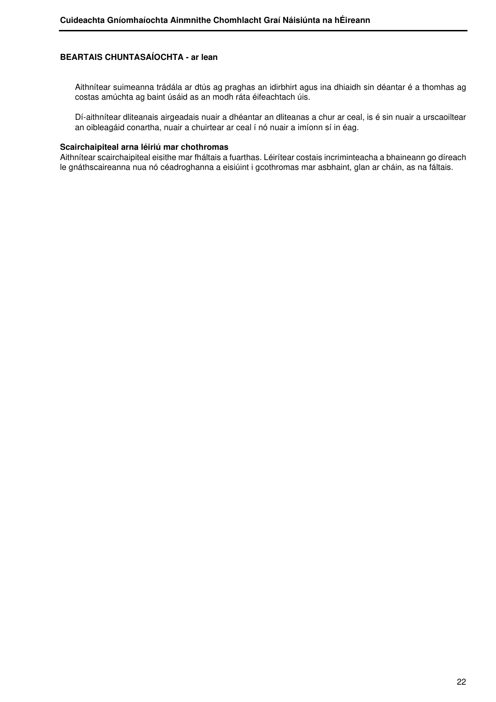Aithnítear suimeanna trádála ar dtús ag praghas an idirbhirt agus ina dhiaidh sin déantar é a thomhas ag costas amúchta ag baint úsáid as an modh ráta éifeachtach úis.

 Dí-aithnítear dliteanais airgeadais nuair a dhéantar an dliteanas a chur ar ceal, is é sin nuair a urscaoiltear an oibleagáid conartha, nuair a chuirtear ar ceal í nó nuair a imíonn sí in éag.

#### **Scairchaipiteal arna léiriú mar chothromas**

Aithnítear scairchaipiteal eisithe mar fháltais a fuarthas. Léirítear costais incriminteacha a bhaineann go díreach le gnáthscaireanna nua nó céadroghanna a eisiúint i gcothromas mar asbhaint, glan ar cháin, as na fáltais.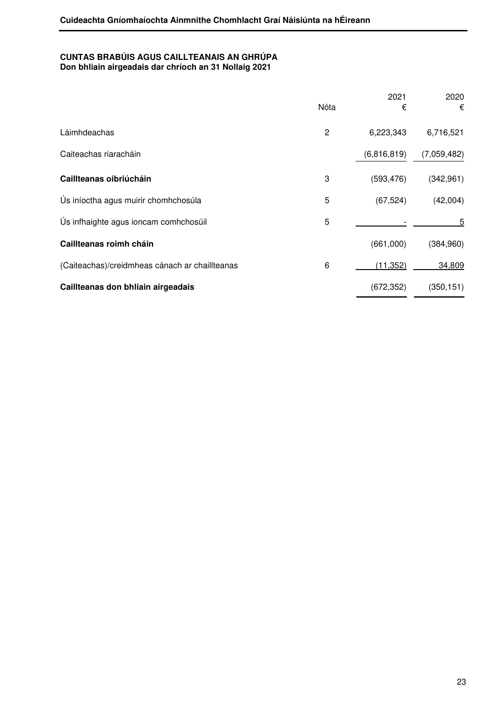## **CUNTAS BRABÚIS AGUS CAILLTEANAIS AN GHRÚPA Don bhliain airgeadais dar chríoch an 31 Nollaig 2021**

|                                                | Nóta           | 2021<br>€   | 2020<br>€   |
|------------------------------------------------|----------------|-------------|-------------|
| Láimhdeachas                                   | $\overline{c}$ | 6,223,343   | 6,716,521   |
| Caiteachas riaracháin                          |                | (6,816,819) | (7,059,482) |
| Caillteanas oibriúcháin                        | 3              | (593, 476)  | (342, 961)  |
| Ús iníoctha agus muirir chomhchosúla           | 5              | (67, 524)   | (42,004)    |
| Ús infhaighte agus ioncam comhchosúil          | 5              |             | 5           |
| Caillteanas roimh cháin                        |                | (661,000)   | (384, 960)  |
| (Caiteachas)/creidmheas cánach ar chaillteanas | 6              | (11, 352)   | 34,809      |
| Caillteanas don bhliain airgeadais             |                | (672, 352)  | (350, 151)  |
|                                                |                |             |             |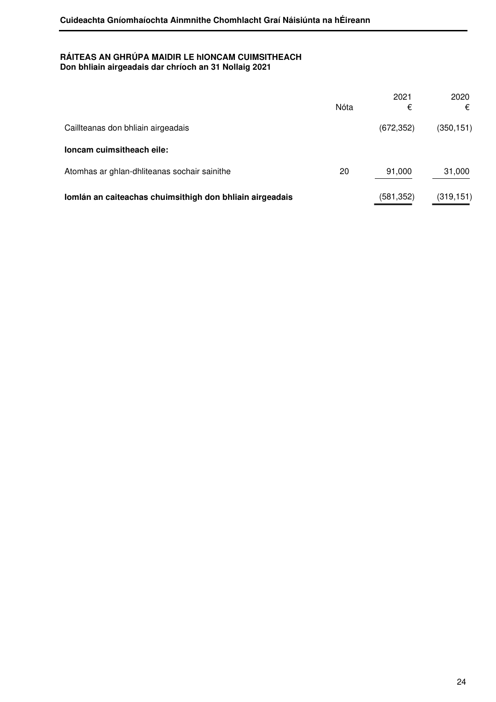## **RÁITEAS AN GHRÚPA MAIDIR LE hIONCAM CUIMSITHEACH Don bhliain airgeadais dar chríoch an 31 Nollaig 2021**

|                                                          | Nóta | 2021<br>€  | 2020<br>€  |
|----------------------------------------------------------|------|------------|------------|
| Caillteanas don bhliain airgeadais                       |      | (672, 352) | (350, 151) |
| loncam cuimsitheach eile:                                |      |            |            |
| Atomhas ar ghlan-dhliteanas sochair sainithe             | 20   | 91,000     | 31,000     |
| Iomlán an caiteachas chuimsithigh don bhliain airgeadais |      | (581,352)  | (319, 151) |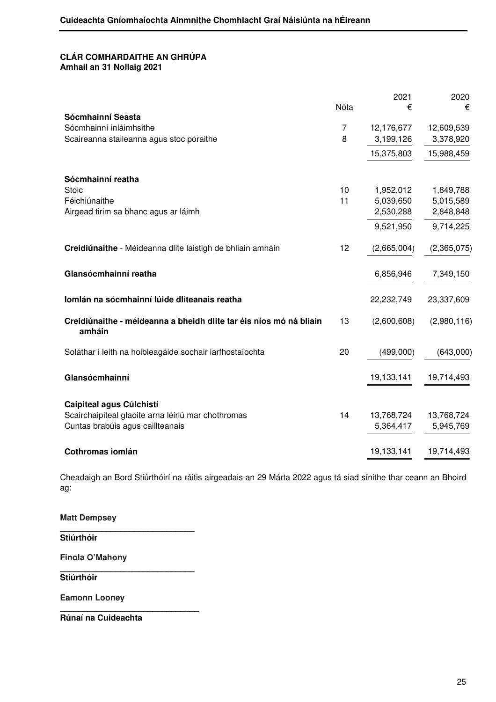## **CLÁR COMHARDAITHE AN GHRÚPA Amhail an 31 Nollaig 2021**

|                                                                    |                | 2021                    | 2020                    |
|--------------------------------------------------------------------|----------------|-------------------------|-------------------------|
|                                                                    | Nóta           | €                       | €                       |
| Sócmhainní Seasta<br>Sócmhainní inláimhsithe                       | $\overline{7}$ |                         |                         |
|                                                                    | 8              | 12,176,677<br>3,199,126 | 12,609,539<br>3,378,920 |
| Scaireanna staileanna agus stoc póraithe                           |                |                         |                         |
|                                                                    |                | 15,375,803              | 15,988,459              |
|                                                                    |                |                         |                         |
| Sócmhainní reatha                                                  |                |                         |                         |
| <b>Stoic</b>                                                       | 10             | 1,952,012               | 1,849,788               |
| Féichiúnaithe                                                      | 11             | 5,039,650               | 5,015,589               |
| Airgead tirim sa bhanc agus ar láimh                               |                | 2,530,288               | 2,848,848               |
|                                                                    |                | 9,521,950               | 9,714,225               |
| Creidiúnaithe - Méideanna dlite laistigh de bhliain amháin         | 12             | (2,665,004)             | (2,365,075)             |
|                                                                    |                |                         |                         |
| Glansócmhainní reatha                                              |                | 6,856,946               | 7,349,150               |
|                                                                    |                |                         |                         |
| Iomlán na sócmhainní lúide dliteanais reatha                       |                | 22,232,749              | 23,337,609              |
| Creidiúnaithe - méideanna a bheidh dlite tar éis níos mó ná bliain | 13             | (2,600,608)             | (2,980,116)             |
| amháin                                                             |                |                         |                         |
| Soláthar i leith na hoibleagáide sochair iarfhostaíochta           | 20             | (499,000)               | (643,000)               |
|                                                                    |                |                         |                         |
| Glansócmhainní                                                     |                | 19,133,141              | 19,714,493              |
|                                                                    |                |                         |                         |
| Caipiteal agus Cúlchistí                                           |                |                         |                         |
| Scairchaipiteal glaoite arna léiriú mar chothromas                 | 14             | 13,768,724              | 13,768,724              |
| Cuntas brabúis agus caillteanais                                   |                | 5,364,417               | 5,945,769               |
|                                                                    |                |                         |                         |
| Cothromas iomlán                                                   |                | 19,133,141              | 19,714,493              |

Cheadaigh an Bord Stiúrthóirí na ráitis airgeadais an 29 Márta 2022 agus tá siad sínithe thar ceann an Bhoird ag:

**Matt Dempsey \_\_\_\_\_\_\_\_\_\_\_\_\_\_\_\_\_\_\_\_\_\_\_\_\_\_\_\_\_ Stiúrthóir** 

**\_\_\_\_\_\_\_\_\_\_\_\_\_\_\_\_\_\_\_\_\_\_\_\_\_\_\_\_\_** 

**\_\_\_\_\_\_\_\_\_\_\_\_\_\_\_\_\_\_\_\_\_\_\_\_\_\_\_\_\_\_** 

**Finola O'Mahony**

**Stiúrthóir** 

**Eamonn Looney** 

**Rúnaí na Cuideachta**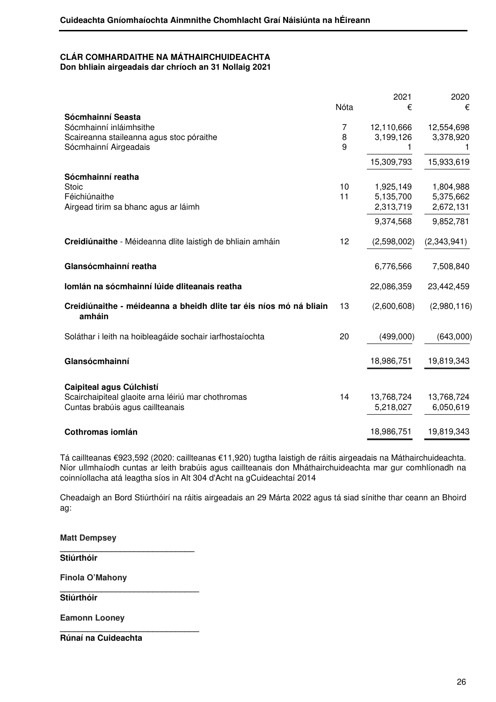#### **CLÁR COMHARDAITHE NA MÁTHAIRCHUIDEACHTA Don bhliain airgeadais dar chríoch an 31 Nollaig 2021**

Nóta 2021 € 2020  $\epsilon$ **Sócmhainní Seasta** Sócmhainní inláimhsithe **7** 12,110,666 12.554.698 Scaireanna staileanna agus stoc póraithe  $\begin{array}{cccc} 8 & 3,199,126 & 3,378,920 \end{array}$ Sócmhainní Airgeadais **19th airson a bh**ann anns an t-aithe anns an t-aithe anns an t-aithe anns an t-aithe anns an t-aithe anns an t-aithe anns an t-aithe anns an t-aithe anns an t-aithe anns an t-aithe anns an t-aithe an 15,309,793 15,933,619 **Sócmhainní reatha** Stoic 10 1,925,149 1,804,988 Féichiúnaithe 11 5,135,700 5,375,662 Airgead tirim sa bhanc agus ar láimh 2,313,719 2,672,131 9,374,568 9,852,781 **Creidiúnaithe** - Méideanna dlite laistigh de bhliain amháin 12 (2,598,002) (2,343,941) **Glansócmhainní reatha** 6,776,566 7,508,840 **Iomlán na sócmhainní lúide dliteanais reatha** 22,086,359 23,442,459 **Creidiúnaithe - méideanna a bheidh dlite tar éis níos mó ná bliain amháin**  13 (2,600,608) (2,980,116) Soláthar i leith na hoibleagáide sochair iarfhostaíochta 20 (499,000) (643,000) **Glansócmhainní** 18,986,751 19,819,343 **Caipiteal agus Cúlchistí**  Scairchaipiteal glaoite arna léiriú mar chothromas 14 13,768,724 13,768,724 Cuntas brabúis agus caillteanais 5,218,027 6,050,619 **Cothromas iomlán** 18,986,751 19,819,343

Tá caillteanas €923,592 (2020: caillteanas €11,920) tugtha laistigh de ráitis airgeadais na Máthairchuideachta. Níor ullmhaíodh cuntas ar leith brabúis agus caillteanais don Mháthairchuideachta mar gur comhlíonadh na coinníollacha atá leagtha síos in Alt 304 d'Acht na gCuideachtaí 2014

Cheadaigh an Bord Stiúrthóirí na ráitis airgeadais an 29 Márta 2022 agus tá siad sínithe thar ceann an Bhoird ag:

**Matt Dempsey \_\_\_\_\_\_\_\_\_\_\_\_\_\_\_\_\_\_\_\_\_\_\_\_\_\_\_\_\_ Stiúrthóir Finola O'Mahony \_\_\_\_\_\_\_\_\_\_\_\_\_\_\_\_\_\_\_\_\_\_\_\_\_\_\_\_\_\_ Stiúrthóir Eamonn Looney \_\_\_\_\_\_\_\_\_\_\_\_\_\_\_\_\_\_\_\_\_\_\_\_\_\_\_\_\_\_ Rúnaí na Cuideachta**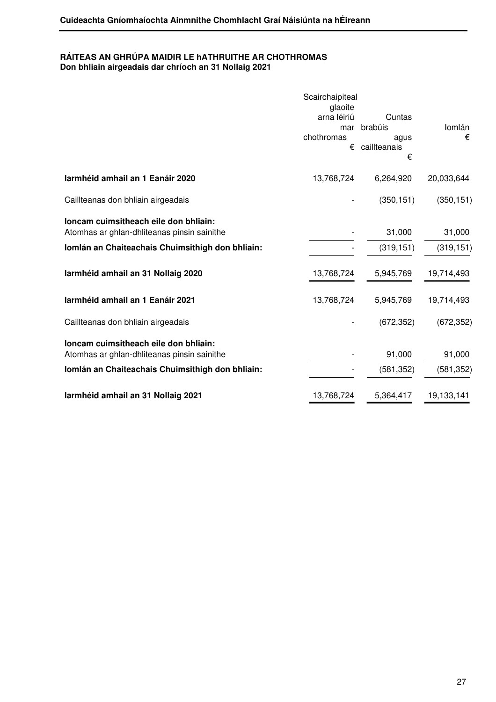## **RÁITEAS AN GHRÚPA MAIDIR LE hATHRUITHE AR CHOTHROMAS Don bhliain airgeadais dar chríoch an 31 Nollaig 2021**

|                                                                                                                                          | Scairchaipiteal<br>glaoite<br>arna léiriú<br>mar<br>chothromas<br>€ | Cuntas<br>brabúis<br>agus<br>caillteanais<br>€ | Iomlán<br>€          |
|------------------------------------------------------------------------------------------------------------------------------------------|---------------------------------------------------------------------|------------------------------------------------|----------------------|
| Iarmhéid amhail an 1 Eanáir 2020                                                                                                         | 13,768,724                                                          | 6,264,920                                      | 20,033,644           |
| Caillteanas don bhliain airgeadais                                                                                                       |                                                                     | (350, 151)                                     | (350, 151)           |
| loncam cuimsitheach eile don bhliain:<br>Atomhas ar ghlan-dhliteanas pinsin sainithe<br>Iomlán an Chaiteachais Chuimsithigh don bhliain: |                                                                     | 31,000<br>(319, 151)                           | 31,000<br>(319, 151) |
| Iarmhéid amhail an 31 Nollaig 2020                                                                                                       | 13,768,724                                                          | 5,945,769                                      | 19,714,493           |
| Iarmhéid amhail an 1 Eanáir 2021                                                                                                         | 13,768,724                                                          | 5,945,769                                      | 19,714,493           |
| Caillteanas don bhliain airgeadais                                                                                                       |                                                                     | (672, 352)                                     | (672, 352)           |
| loncam cuimsitheach eile don bhliain:<br>Atomhas ar ghlan-dhliteanas pinsin sainithe                                                     |                                                                     | 91,000                                         | 91,000               |
| Iomlán an Chaiteachais Chuimsithigh don bhliain:                                                                                         |                                                                     | (581, 352)                                     | (581, 352)           |
| Iarmhéid amhail an 31 Nollaig 2021                                                                                                       | 13,768,724                                                          | 5,364,417                                      | 19,133,141           |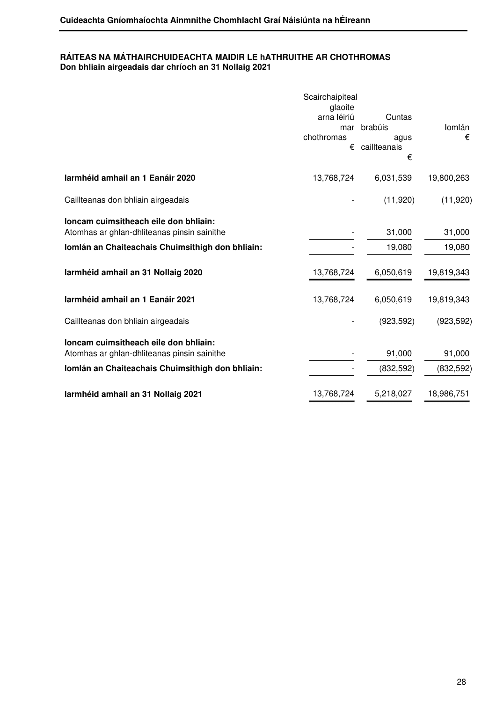## **RÁITEAS NA MÁTHAIRCHUIDEACHTA MAIDIR LE hATHRUITHE AR CHOTHROMAS Don bhliain airgeadais dar chríoch an 31 Nollaig 2021**

|                                                  | Scairchaipiteal        |                           |            |
|--------------------------------------------------|------------------------|---------------------------|------------|
|                                                  | glaoite<br>arna léiriú | Cuntas<br>mar brabúis     | lomlán     |
|                                                  | chothromas<br>€        | agus<br>caillteanais<br>€ | €          |
| Iarmhéid amhail an 1 Eanáir 2020                 | 13,768,724             | 6,031,539                 | 19,800,263 |
| Caillteanas don bhliain airgeadais               |                        | (11, 920)                 | (11,920)   |
| loncam cuimsitheach eile don bhliain:            |                        |                           |            |
| Atomhas ar ghlan-dhliteanas pinsin sainithe      |                        | 31,000                    | 31,000     |
| Iomlán an Chaiteachais Chuimsithigh don bhliain: |                        | 19,080                    | 19,080     |
| Iarmhéid amhail an 31 Nollaig 2020               | 13,768,724             | 6,050,619                 | 19,819,343 |
| Iarmhéid amhail an 1 Eanáir 2021                 | 13,768,724             | 6,050,619                 | 19,819,343 |
| Caillteanas don bhliain airgeadais               |                        | (923, 592)                | (923, 592) |
| loncam cuimsitheach eile don bhliain:            |                        |                           |            |
| Atomhas ar ghlan-dhliteanas pinsin sainithe      |                        | 91,000                    | 91,000     |
| Iomlán an Chaiteachais Chuimsithigh don bhliain: |                        | (832, 592)                | (832, 592) |
| Iarmhéid amhail an 31 Nollaig 2021               | 13,768,724             | 5,218,027                 | 18,986,751 |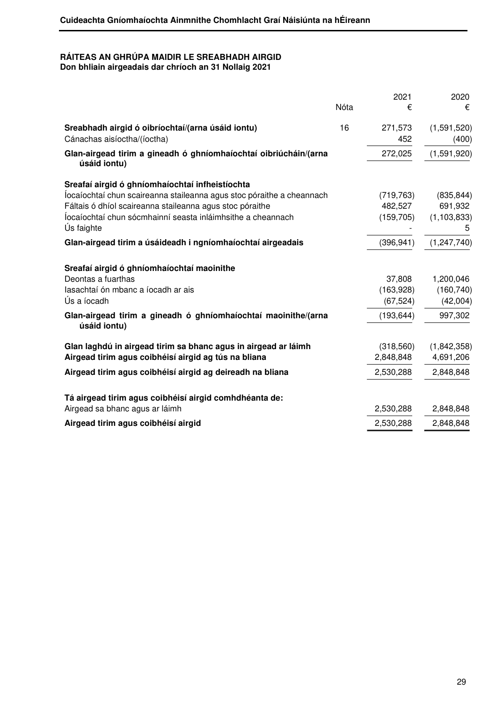## **RÁITEAS AN GHRÚPA MAIDIR LE SREABHADH AIRGID Don bhliain airgeadais dar chríoch an 31 Nollaig 2021**

|                                                                                  | Nóta | 2021<br>€      | 2020<br>€            |
|----------------------------------------------------------------------------------|------|----------------|----------------------|
| Sreabhadh airgid ó oibríochtaí/(arna úsáid iontu)<br>Cánachas aisíoctha/(íoctha) | 16   | 271,573<br>452 | (1,591,520)<br>(400) |
| Glan-airgead tirim a gineadh ó ghníomhaíochtaí oibriúcháin/(arna<br>úsáid iontu) |      | 272,025        | (1,591,920)          |
| Sreafaí airgid ó ghníomhaíochtaí infheistíochta                                  |      |                |                      |
| locaíochtaí chun scaireanna staileanna agus stoc póraithe a cheannach            |      | (719, 763)     | (835, 844)           |
| Fáltais ó dhíol scaireanna staileanna agus stoc póraithe                         |      | 482,527        | 691,932              |
| locaíochtaí chun sócmhainní seasta inláimhsithe a cheannach<br>Ús faighte        |      | (159, 705)     | (1, 103, 833)<br>5   |
| Glan-airgead tirim a úsáideadh i ngníomhaíochtaí airgeadais                      |      | (396, 941)     | (1,247,740)          |
| Sreafaí airgid ó ghníomhaíochtaí maoinithe                                       |      |                |                      |
| Deontas a fuarthas                                                               |      | 37,808         | 1,200,046            |
| lasachtaí ón mbanc a íocadh ar ais                                               |      | (163,928)      | (160, 740)           |
| Ús a íocadh                                                                      |      | (67, 524)      | (42,004)             |
| Glan-airgead tirim a gineadh ó ghníomhaíochtaí maoinithe/(arna<br>úsáid iontu)   |      | (193, 644)     | 997,302              |
| Glan laghdú in airgead tirim sa bhanc agus in airgead ar láimh                   |      | (318,560)      | (1,842,358)          |
| Airgead tirim agus coibhéisí airgid ag tús na bliana                             |      | 2,848,848      | 4,691,206            |
| Airgead tirim agus coibhéisí airgid ag deireadh na bliana                        |      | 2,530,288      | 2,848,848            |
| Tá airgead tirim agus coibhéisí airgid comhdhéanta de:                           |      |                |                      |
| Airgead sa bhanc agus ar láimh                                                   |      | 2,530,288      | 2,848,848            |
| Airgead tirim agus coibhéisí airgid                                              |      | 2,530,288      | 2,848,848            |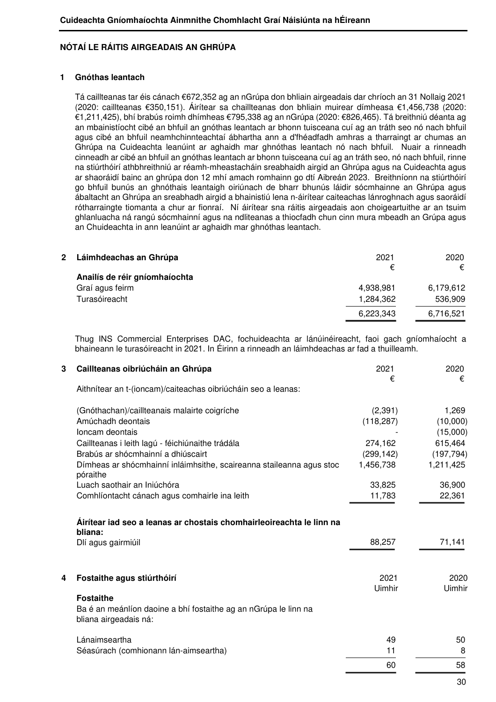## **NÓTAÍ LE RÁITIS AIRGEADAIS AN GHRÚPA**

## **1 Gnóthas leantach**

Tá caillteanas tar éis cánach €672,352 ag an nGrúpa don bhliain airgeadais dar chríoch an 31 Nollaig 2021 (2020: caillteanas €350,151). Áirítear sa chaillteanas don bhliain muirear dímheasa €1,456,738 (2020: €1,211,425), bhí brabús roimh dhímheas €795,338 ag an nGrúpa (2020: €826,465). Tá breithniú déanta ag an mbainistíocht cibé an bhfuil an gnóthas leantach ar bhonn tuisceana cuí ag an tráth seo nó nach bhfuil agus cibé an bhfuil neamhchinnteachtaí ábhartha ann a d'fhéadfadh amhras a tharraingt ar chumas an Ghrúpa na Cuideachta leanúint ar aghaidh mar ghnóthas leantach nó nach bhfuil. Nuair a rinneadh cinneadh ar cibé an bhfuil an gnóthas leantach ar bhonn tuisceana cuí ag an tráth seo, nó nach bhfuil, rinne na stiúrthóirí athbhreithniú ar réamh-mheastacháin sreabhaidh airgid an Ghrúpa agus na Cuideachta agus ar shaoráidí bainc an ghrúpa don 12 mhí amach romhainn go dtí Aibreán 2023. Breithníonn na stiúrthóirí go bhfuil bunús an ghnóthais leantaigh oiriúnach de bharr bhunús láidir sócmhainne an Ghrúpa agus ábaltacht an Ghrúpa an sreabhadh airgid a bhainistiú lena n-áirítear caiteachas lánroghnach agus saoráidí rótharraingte tiomanta a chur ar fionraí. Ní áirítear sna ráitis airgeadais aon choigeartuithe ar an tsuim ghlanluacha ná rangú sócmhainní agus na ndliteanas a thiocfadh chun cinn mura mbeadh an Grúpa agus an Chuideachta in ann leanúint ar aghaidh mar ghnóthas leantach.

| 2 | Láimhdeachas an Ghrúpa        | 2021      | 2020      |
|---|-------------------------------|-----------|-----------|
|   | Anailís de réir gníomhaíochta | €         | €         |
|   | Graí agus feirm               | 4,938,981 | 6,179,612 |
|   | Turasóireacht                 | 1,284,362 | 536,909   |
|   |                               | 6,223,343 | 6,716,521 |
|   |                               |           |           |

 Thug INS Commercial Enterprises DAC, fochuideachta ar lánúinéireacht, faoi gach gníomhaíocht a bhaineann le turasóireacht in 2021. In Éirinn a rinneadh an láimhdeachas ar fad a thuilleamh.

| Aithnítear an t-(ioncam)/caiteachas oibriúcháin seo a leanas:<br>(2,391)<br>(Gnóthachan)/caillteanais malairte coigríche<br>Amúchadh deontais<br>(118, 287)<br>Ioncam deontais<br>Caillteanas i leith lagú - féichiúnaithe trádála<br>274,162<br>Brabús ar shócmhainní a dhiúscairt<br>(299, 142)<br>Dímheas ar shócmhainní inláimhsithe, scaireanna staileanna agus stoc<br>1,456,738<br>póraithe<br>Luach saothair an Iniúchóra<br>33,825<br>Comhlíontacht cánach agus comhairle ina leith<br>11,783 | $\epsilon$ |
|--------------------------------------------------------------------------------------------------------------------------------------------------------------------------------------------------------------------------------------------------------------------------------------------------------------------------------------------------------------------------------------------------------------------------------------------------------------------------------------------------------|------------|
|                                                                                                                                                                                                                                                                                                                                                                                                                                                                                                        |            |
|                                                                                                                                                                                                                                                                                                                                                                                                                                                                                                        | 1,269      |
|                                                                                                                                                                                                                                                                                                                                                                                                                                                                                                        | (10,000)   |
|                                                                                                                                                                                                                                                                                                                                                                                                                                                                                                        | (15,000)   |
|                                                                                                                                                                                                                                                                                                                                                                                                                                                                                                        | 615,464    |
|                                                                                                                                                                                                                                                                                                                                                                                                                                                                                                        | (197, 794) |
|                                                                                                                                                                                                                                                                                                                                                                                                                                                                                                        | 1,211,425  |
|                                                                                                                                                                                                                                                                                                                                                                                                                                                                                                        | 36,900     |
|                                                                                                                                                                                                                                                                                                                                                                                                                                                                                                        | 22,361     |
| Áirítear iad seo a leanas ar chostais chomhairleoireachta le linn na<br>bliana:                                                                                                                                                                                                                                                                                                                                                                                                                        |            |
| 88,257<br>Dlí agus gairmiúil                                                                                                                                                                                                                                                                                                                                                                                                                                                                           | 71,141     |
| Fostaithe agus stiúrthóirí<br>2021<br>4                                                                                                                                                                                                                                                                                                                                                                                                                                                                | 2020       |
| Uimhir                                                                                                                                                                                                                                                                                                                                                                                                                                                                                                 | Uimhir     |
| <b>Fostaithe</b>                                                                                                                                                                                                                                                                                                                                                                                                                                                                                       |            |
| Ba é an meánlíon daoine a bhí fostaithe ag an nGrúpa le linn na<br>bliana airgeadais ná:                                                                                                                                                                                                                                                                                                                                                                                                               |            |
| 49<br>Lánaimseartha                                                                                                                                                                                                                                                                                                                                                                                                                                                                                    | 50         |
| Séasúrach (comhionann lán-aimseartha)<br>11                                                                                                                                                                                                                                                                                                                                                                                                                                                            | 8          |
| 60                                                                                                                                                                                                                                                                                                                                                                                                                                                                                                     | 58         |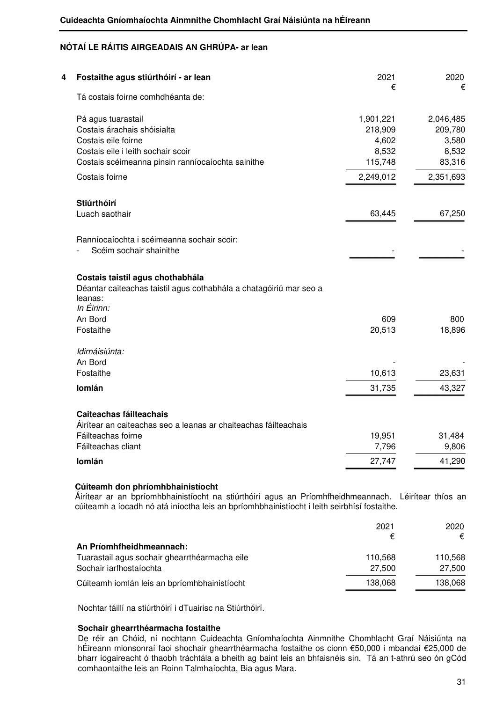| Fostaithe agus stiúrthóirí - ar lean                                          | 2021      | 2020      |
|-------------------------------------------------------------------------------|-----------|-----------|
| Tá costais foirne comhdhéanta de:                                             | €         | €         |
| Pá agus tuarastail                                                            | 1,901,221 | 2,046,485 |
| Costais árachais shóisialta                                                   | 218,909   | 209,780   |
| Costais eile foirne                                                           | 4,602     | 3,580     |
| Costais eile i leith sochair scoir                                            | 8,532     | 8,532     |
| Costais scéimeanna pinsin ranníocaíochta sainithe                             | 115,748   | 83,316    |
| Costais foirne                                                                | 2,249,012 | 2,351,693 |
| Stiúrthóirí                                                                   |           |           |
| Luach saothair                                                                | 63,445    | 67,250    |
| Ranníocaíochta i scéimeanna sochair scoir:                                    |           |           |
| Scéim sochair shainithe                                                       |           |           |
| Costais taistil agus chothabhála                                              |           |           |
| Déantar caiteachas taistil agus cothabhála a chatagóiriú mar seo a<br>leanas: |           |           |
| In Éirinn:                                                                    |           |           |
| An Bord                                                                       | 609       | 800       |
| Fostaithe                                                                     | 20,513    | 18,896    |
| Idirnáisiúnta:                                                                |           |           |
| An Bord                                                                       |           |           |
| Fostaithe                                                                     | 10,613    | 23,631    |
| Iomlán                                                                        | 31,735    | 43,327    |
| Caiteachas fáilteachais                                                       |           |           |
| Áirítear an caiteachas seo a leanas ar chaiteachas fáilteachais               |           |           |
| Fáilteachas foirne                                                            | 19,951    | 31,484    |
| Fáilteachas cliant                                                            | 7,796     | 9,806     |
| Iomlán                                                                        | 27,747    | 41,290    |

Áirítear ar an bpríomhbhainistíocht na stiúrthóirí agus an Príomhfheidhmeannach. Léirítear thíos an cúiteamh a íocadh nó atá iníoctha leis an bpríomhbhainistíocht i leith seirbhísí fostaithe.

|                                               | 2021    | 2020    |
|-----------------------------------------------|---------|---------|
|                                               | €       | €       |
| An Príomhfheidhmeannach:                      |         |         |
| Tuarastail agus sochair ghearrthéarmacha eile | 110.568 | 110,568 |
| Sochair iarfhostaíochta                       | 27,500  | 27,500  |
| Cúiteamh iomlán leis an bpríomhbhainistíocht  | 138,068 | 138,068 |

Nochtar táillí na stiúrthóirí i dTuairisc na Stiúrthóirí.

## **Sochair ghearrthéarmacha fostaithe**

De réir an Chóid, ní nochtann Cuideachta Gníomhaíochta Ainmnithe Chomhlacht Graí Náisiúnta na hÉireann mionsonraí faoi shochair ghearrthéarmacha fostaithe os cionn €50,000 i mbandaí €25,000 de bharr íogaireacht ó thaobh tráchtála a bheith ag baint leis an bhfaisnéis sin. Tá an t-athrú seo ón gCód comhaontaithe leis an Roinn Talmhaíochta, Bia agus Mara.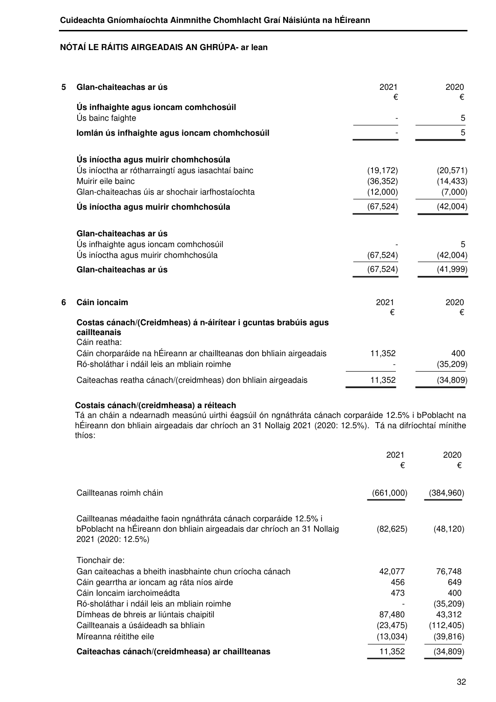| 5 | Glan-chaiteachas ar ús                                                                                             | 2021<br>€ | 2020<br>€        |
|---|--------------------------------------------------------------------------------------------------------------------|-----------|------------------|
|   | Ús infhaighte agus ioncam comhchosúil                                                                              |           |                  |
|   | Ús bainc faighte                                                                                                   |           | 5                |
|   | Iomlán ús infhaighte agus ioncam chomhchosúil                                                                      |           | 5                |
|   | Ús iníoctha agus muirir chomhchosúla                                                                               |           |                  |
|   | Ús iníoctha ar rótharraingtí agus iasachtaí bainc                                                                  | (19, 172) | (20, 571)        |
|   | Muirir eile bainc                                                                                                  | (36, 352) | (14, 433)        |
|   | Glan-chaiteachas úis ar shochair iarfhostaíochta                                                                   | (12,000)  | (7,000)          |
|   | Ús iníoctha agus muirir chomhchosúla                                                                               | (67, 524) | (42,004)         |
|   | Glan-chaiteachas ar ús                                                                                             |           |                  |
|   | Ús infhaighte agus ioncam comhchosúil                                                                              |           | 5                |
|   | Ús iníoctha agus muirir chomhchosúla                                                                               | (67, 524) | (42,004)         |
|   | Glan-chaiteachas ar ús                                                                                             | (67, 524) | (41, 999)        |
|   |                                                                                                                    |           |                  |
| 6 | Cáin ioncaim                                                                                                       | 2021      | 2020             |
|   | Costas cánach/(Creidmheas) á n-áirítear i gcuntas brabúis agus<br>caillteanais<br>Cáin reatha:                     | €         | €                |
|   | Cáin chorparáide na hÉireann ar chaillteanas don bhliain airgeadais<br>Ró-sholáthar i ndáil leis an mbliain roimhe | 11,352    | 400<br>(35, 209) |
|   | Caiteachas reatha cánach/(creidmheas) don bhliain airgeadais                                                       | 11,352    | (34, 809)        |

## **Costais cánach/(creidmheasa) a réiteach**

 Tá an cháin a ndearnadh measúnú uirthi éagsúil ón ngnáthráta cánach corparáide 12.5% i bPoblacht na hÉireann don bhliain airgeadais dar chríoch an 31 Nollaig 2021 (2020: 12.5%). Tá na difríochtaí mínithe thíos:

|                                                                                                                                                                  | 2021<br>€           | 2020<br>€              |
|------------------------------------------------------------------------------------------------------------------------------------------------------------------|---------------------|------------------------|
| Caillteanas roimh cháin                                                                                                                                          | (661,000)           | (384, 960)             |
| Caillteanas méadaithe faoin ngnáthráta cánach corparáide 12.5% i<br>bPoblacht na hÉireann don bhliain airgeadais dar chríoch an 31 Nollaig<br>2021 (2020: 12.5%) | (82, 625)           | (48, 120)              |
| Tionchair de:<br>Gan caiteachas a bheith inasbhainte chun críocha cánach<br>Cáin gearrtha ar ioncam ag ráta níos airde                                           | 42,077<br>456       | 76,748<br>649          |
| Cáin Ioncaim iarchoimeádta<br>Ró-sholáthar i ndáil leis an mbliain roimhe                                                                                        | 473                 | 400<br>(35, 209)       |
| Dímheas de bhreis ar liúntais chaipitil<br>Caillteanais a úsáideadh sa bhliain                                                                                   | 87,480<br>(23, 475) | 43,312<br>(112, 405)   |
| Míreanna réitithe eile<br>Caiteachas cánach/(creidmheasa) ar chaillteanas                                                                                        | (13,034)<br>11,352  | (39, 816)<br>(34, 809) |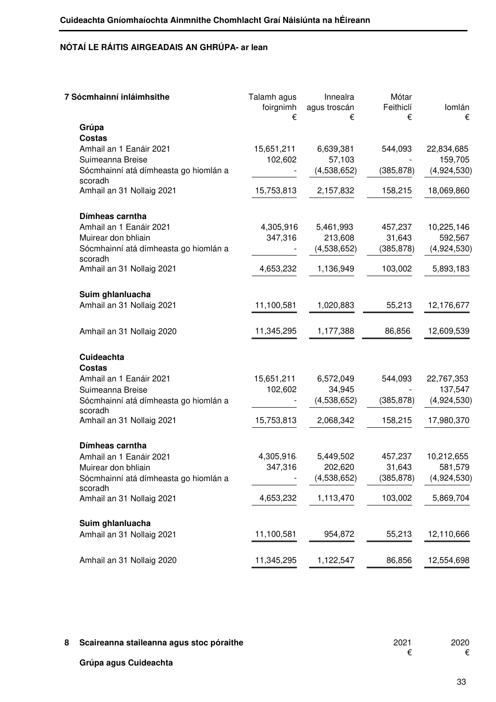| 7 Sócmhainní inláimhsithe                        | Talamh agus<br>foirgnimh<br>€ | Innealra<br>agus troscán<br>€ | Mótar<br>Feithiclí<br>€ | Iomlán<br>€ |
|--------------------------------------------------|-------------------------------|-------------------------------|-------------------------|-------------|
| Grúpa                                            |                               |                               |                         |             |
| <b>Costas</b>                                    |                               |                               |                         |             |
| Amhail an 1 Eanáir 2021                          | 15,651,211                    | 6,639,381                     | 544,093                 | 22,834,685  |
| Suimeanna Breise                                 | 102,602                       | 57,103                        |                         | 159,705     |
| Sócmhainní atá dímheasta go hiomlán a            |                               | (4,538,652)                   | (385, 878)              | (4,924,530) |
| scoradh                                          |                               |                               |                         |             |
| Amhail an 31 Nollaig 2021                        | 15,753,813                    | 2,157,832                     | 158,215                 | 18,069,860  |
| Dímheas carntha                                  |                               |                               |                         |             |
| Amhail an 1 Eanáir 2021                          | 4,305,916                     | 5,461,993                     | 457,237                 | 10,225,146  |
| Muirear don bhliain                              | 347,316                       | 213,608                       | 31,643                  | 592,567     |
| Sócmhainní atá dímheasta go hiomlán a<br>scoradh |                               | (4,538,652)                   | (385, 878)              | (4,924,530) |
| Amhail an 31 Nollaig 2021                        | 4,653,232                     | 1,136,949                     | 103,002                 | 5,893,183   |
| Suim ghlanluacha                                 |                               |                               |                         |             |
| Amhail an 31 Nollaig 2021                        | 11,100,581                    | 1,020,883                     | 55,213                  | 12,176,677  |
| Amhail an 31 Nollaig 2020                        | 11,345,295                    | 1,177,388                     | 86,856                  | 12,609,539  |
| Cuideachta                                       |                               |                               |                         |             |
| <b>Costas</b>                                    |                               |                               |                         |             |
| Amhail an 1 Eanáir 2021                          | 15,651,211                    | 6,572,049                     | 544,093                 | 22,767,353  |
| Suimeanna Breise                                 | 102,602                       | 34,945                        |                         | 137,547     |
| Sócmhainní atá dímheasta go hiomlán a<br>scoradh |                               | (4,538,652)                   | (385, 878)              | (4,924,530) |
| Amhail an 31 Nollaig 2021                        | 15,753,813                    | 2,068,342                     | 158,215                 | 17,980,370  |
| Dímheas carntha                                  |                               |                               |                         |             |
| Amhail an 1 Eanáir 2021                          | 4,305,916                     | 5,449,502                     | 457,237                 | 10,212,655  |
| Muirear don bhliain                              | 347,316                       | 202,620                       | 31,643                  | 581,579     |
| Sócmhainní atá dímheasta go hiomlán a            |                               | (4,538,652)                   | (385, 878)              | (4,924,530) |
| scoradh                                          |                               |                               |                         |             |
| Amhail an 31 Nollaig 2021                        | 4,653,232                     | 1,113,470                     | 103,002                 | 5,869,704   |
| Suim ghlanluacha                                 |                               |                               |                         |             |
| Amhail an 31 Nollaig 2021                        | 11,100,581                    | 954,872                       | 55,213                  | 12,110,666  |
| Amhail an 31 Nollaig 2020                        | 11,345,295                    | 1,122,547                     | 86,856                  | 12,554,698  |
|                                                  |                               |                               |                         |             |

**8 Scaireanna staileanna agus stoc póraithe** 2021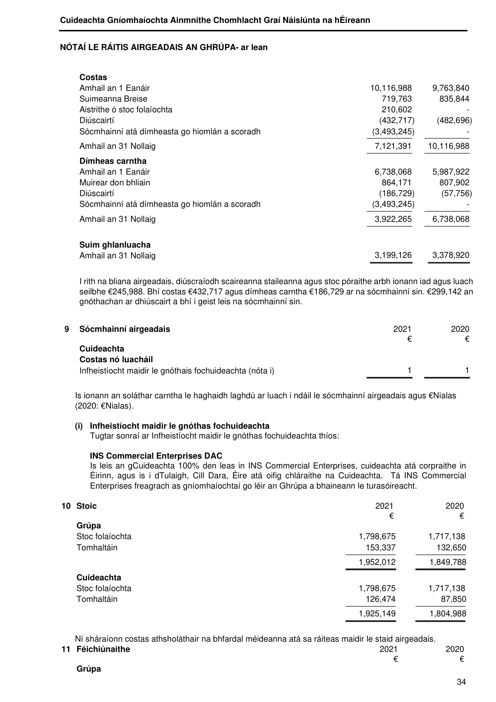| Costas                                        |               |            |
|-----------------------------------------------|---------------|------------|
| Amhail an 1 Eanáir                            | 10,116,988    | 9,763,840  |
| Suimeanna Breise                              | 719.763       | 835,844    |
| Aistrithe ó stoc folaíochta                   | 210,602       |            |
| Diúscairtí                                    | (432, 717)    | (482, 696) |
| Sócmhainní atá dímheasta go hiomlán a scoradh | (3,493,245)   |            |
| Amhail an 31 Nollaig                          | 7,121,391     | 10,116,988 |
| Dímheas carntha                               |               |            |
| Amhail an 1 Eanáir                            | 6,738,068     | 5,987,922  |
| Muirear don bhliain                           | 864,171       | 807,902    |
| Diúscairtí                                    | (186, 729)    | (57, 756)  |
| Sócmhainní atá dímheasta go hiomlán a scoradh | (3, 493, 245) |            |
| Amhail an 31 Nollaig                          | 3,922,265     | 6,738,068  |
| Suim ghlanluacha                              |               |            |
| Amhail an 31 Nollaig                          | 3,199,126     | 3,378,920  |

 I rith na bliana airgeadais, diúscraíodh scaireanna staileanna agus stoc póraithe arbh ionann iad agus luach seilbhe €245,988. Bhí costas €432,717 agus dímheas carntha €186,729 ar na sócmhainní sin. €299,142 an gnóthachan ar dhiúscairt a bhí i geist leis na sócmhainní sin.

| 9 | Sócmhainní airgeadais                                   | 2021 | 2020<br>€ |
|---|---------------------------------------------------------|------|-----------|
|   | <b>Cuideachta</b>                                       |      |           |
|   | Costas nó luacháil                                      |      |           |
|   | Infheistíocht maidir le gnóthais fochuideachta (nóta i) |      |           |

 Is ionann an soláthar carntha le haghaidh laghdú ar luach i ndáil le sócmhainní airgeadais agus €Nialas (2020: €Nialas).

## **(i) Infheistíocht maidir le gnóthas fochuideachta**

Tugtar sonraí ar Infheistíocht maidir le gnóthas fochuideachta thíos:

#### **INS Commercial Enterprises DAC**

Is leis an gCuideachta 100% den leas in INS Commercial Enterprises, cuideachta atá corpraithe in Éirinn, agus is i dTulaigh, Cill Dara, Éire atá oifig chláraithe na Cuideachta. Tá INS Commercial Enterprises freagrach as gníomhaíochtaí go léir an Ghrúpa a bhaineann le turasóireacht.

| 10 Stoic          | 2021      | 2020      |
|-------------------|-----------|-----------|
|                   | €         | €         |
|                   |           |           |
| Stoc folaíochta   | 1,798,675 | 1,717,138 |
| Tomhaltáin        | 153,337   | 132,650   |
|                   | 1,952,012 | 1,849,788 |
| <b>Cuideachta</b> |           |           |
| Stoc folaíochta   | 1,798,675 | 1,717,138 |
| Tomhaltáin        | 126,474   | 87,850    |
|                   | 1,925,149 | 1,804,988 |
|                   | Grúpa     |           |

Ní sháraíonn costas athsholáthair na bhfardal méideanna atá sa ráiteas maidir le staid airgeadais.

| 11 Féichiúnaithe | 2021 | 2020 |
|------------------|------|------|
|                  |      |      |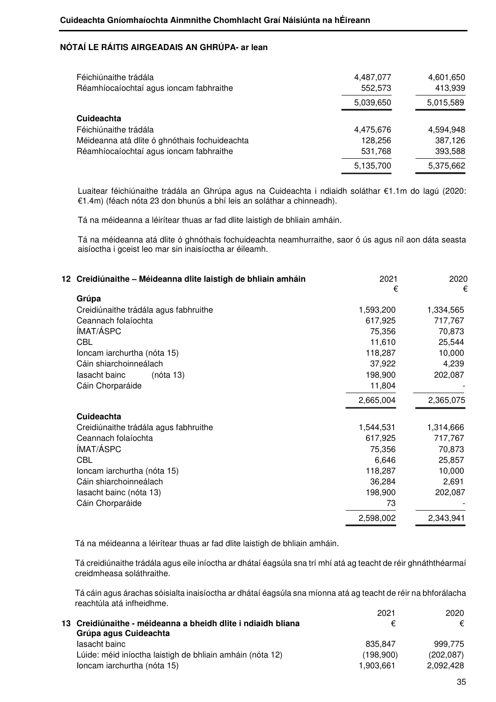| Féichiúnaithe trádála                         | 4,487,077 | 4,601,650 |
|-----------------------------------------------|-----------|-----------|
| Réamhíocaíochtaí agus ioncam fabhraithe       | 552,573   | 413,939   |
|                                               | 5,039,650 | 5,015,589 |
| <b>Cuideachta</b>                             |           |           |
| Féichiúnaithe trádála                         | 4,475,676 | 4,594,948 |
| Méideanna atá dlite ó ghnóthais fochuideachta | 128,256   | 387,126   |
| Réamhíocaíochtaí agus ioncam fabhraithe       | 531,768   | 393,588   |
|                                               | 5,135,700 | 5,375,662 |

Luaitear féichiúnaithe trádála an Ghrúpa agus na Cuideachta i ndiaidh soláthar €1.1m do lagú (2020: €1.4m) (féach nóta 23 don bhunús a bhí leis an soláthar a chinneadh).

Tá na méideanna a léirítear thuas ar fad dlite laistigh de bhliain amháin.

Tá na méideanna atá dlite ó ghnóthais fochuideachta neamhurraithe, saor ó ús agus níl aon dáta seasta aisíoctha i gceist leo mar sin inaisíoctha ar éileamh.

| 12 Creidiúnaithe - Méideanna dlite laistigh de bhliain amháin | 2021<br>€ | 2020<br>€ |
|---------------------------------------------------------------|-----------|-----------|
| Grúpa                                                         |           |           |
| Creidiúnaithe trádála agus fabhruithe                         | 1,593,200 | 1,334,565 |
| Ceannach folaíochta                                           | 617,925   | 717,767   |
| ÍMAT/ÁSPC                                                     | 75,356    | 70,873    |
| <b>CBL</b>                                                    | 11,610    | 25,544    |
| Ioncam iarchurtha (nóta 15)                                   | 118,287   | 10,000    |
| Cáin shiarchoinneálach                                        | 37,922    | 4,239     |
| lasacht bainc<br>(nóta 13)                                    | 198,900   | 202,087   |
| Cáin Chorparáide                                              | 11,804    |           |
|                                                               | 2,665,004 | 2,365,075 |
| <b>Cuideachta</b>                                             |           |           |
| Creidiúnaithe trádála agus fabhruithe                         | 1,544,531 | 1,314,666 |
| Ceannach folaíochta                                           | 617,925   | 717,767   |
| ÍMAT/ÁSPC                                                     | 75,356    | 70,873    |
| <b>CBL</b>                                                    | 6,646     | 25,857    |
| Ioncam iarchurtha (nóta 15)                                   | 118,287   | 10,000    |
| Cáin shiarchoinneálach                                        | 36,284    | 2,691     |
| lasacht bainc (nóta 13)                                       | 198,900   | 202,087   |
| Cáin Chorparáide                                              | 73        |           |
|                                                               | 2,598,002 | 2,343,941 |
|                                                               |           |           |

Tá na méideanna a léirítear thuas ar fad dlite laistigh de bhliain amháin.

Tá creidiúnaithe trádála agus eile iníoctha ar dhátaí éagsúla sna trí mhí atá ag teacht de réir ghnáththéarmaí creidmheasa soláthraithe.

 Tá cáin agus árachas sóisialta inaisíoctha ar dhátaí éagsúla sna míonna atá ag teacht de réir na bhforálacha reachtúla atá infheidhme. 2021 2020

|                                                              | ZUZ I     | ZUZU.      |
|--------------------------------------------------------------|-----------|------------|
| 13 Creidiúnaithe - méideanna a bheidh dlite i ndiaidh bliana | €         | €          |
| Grúpa agus Cuideachta                                        |           |            |
| lasacht bainc                                                | 835.847   | 999.775    |
| Lúide: méid iníoctha laistigh de bhliain amháin (nóta 12)    | (198,900) | (202, 087) |
| loncam iarchurtha (nóta 15)                                  | 1.903.661 | 2,092,428  |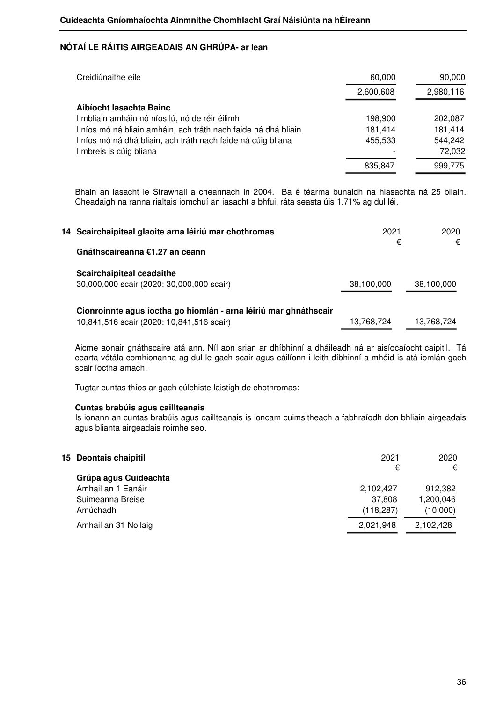| Creidiúnaithe eile                                           | 60,000    | 90,000    |
|--------------------------------------------------------------|-----------|-----------|
|                                                              | 2,600,608 | 2,980,116 |
| Aibíocht lasachta Bainc                                      |           |           |
| mbliain amháin nó níos lú, nó de réir éilimh                 | 198,900   | 202,087   |
| níos mó ná bliain amháin, ach tráth nach faide ná dhá bliain | 181,414   | 181,414   |
| níos mó ná dhá bliain, ach tráth nach faide ná cúig bliana   | 455,533   | 544,242   |
| mbreis is cúig bliana                                        |           | 72,032    |
|                                                              | 835,847   | 999.775   |

 Bhain an iasacht le Strawhall a cheannach in 2004. Ba é téarma bunaidh na hiasachta ná 25 bliain. Cheadaigh na ranna rialtais iomchuí an iasacht a bhfuil ráta seasta úis 1.71% ag dul léi.

| 14 Scairchaipiteal glaoite arna léiriú mar chothromas            | 2021       | 2020       |
|------------------------------------------------------------------|------------|------------|
| Gnáthscaireanna €1.27 an ceann                                   | €          | €          |
| <b>Scairchaipiteal ceadaithe</b>                                 |            |            |
| 30,000,000 scair (2020: 30,000,000 scair)                        | 38,100,000 | 38,100,000 |
| Cionroinnte agus íoctha go hiomlán - arna léiriú mar ghnáthscair |            |            |
| 10,841,516 scair (2020: 10,841,516 scair)                        | 13,768,724 | 13,768,724 |

 Aicme aonair gnáthscaire atá ann. Níl aon srian ar dhíbhinní a dháileadh ná ar aisíocaíocht caipitil. Tá cearta vótála comhionanna ag dul le gach scair agus cáilíonn i leith díbhinní a mhéid is atá iomlán gach scair íoctha amach.

Tugtar cuntas thíos ar gach cúlchiste laistigh de chothromas:

## **Cuntas brabúis agus caillteanais**

 Is ionann an cuntas brabúis agus caillteanais is ioncam cuimsitheach a fabhraíodh don bhliain airgeadais agus blianta airgeadais roimhe seo.

| 15 Deontais chaipitil | 2021<br>€  | 2020<br>€ |
|-----------------------|------------|-----------|
| Grúpa agus Cuideachta |            |           |
| Amhail an 1 Eanáir    | 2,102,427  | 912,382   |
| Suimeanna Breise      | 37.808     | 1,200,046 |
| Amúchadh              | (118, 287) | (10,000)  |
| Amhail an 31 Nollaig  | 2,021,948  | 2,102,428 |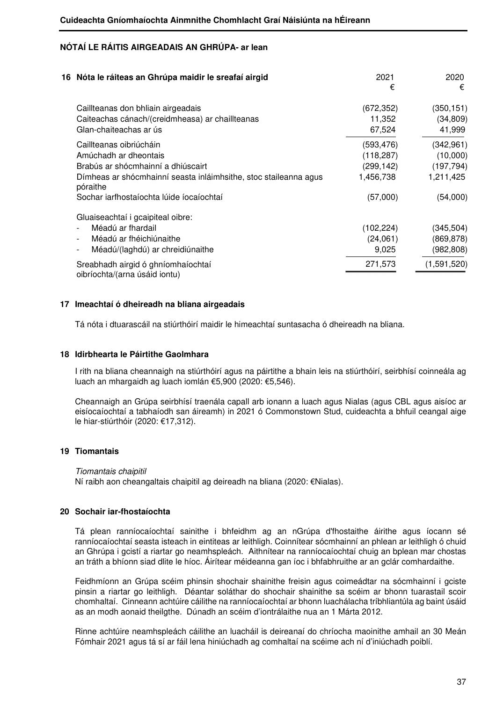| 16 Nóta le ráiteas an Ghrúpa maidir le sreafaí airgid                        | 2021<br>€  | 2020<br>€   |
|------------------------------------------------------------------------------|------------|-------------|
| Caillteanas don bhliain airgeadais                                           | (672,352)  | (350, 151)  |
| Caiteachas cánach/(creidmheasa) ar chaillteanas                              | 11,352     | (34, 809)   |
| Glan-chaiteachas ar ús                                                       | 67,524     | 41,999      |
| Caillteanas oibriúcháin                                                      | (593,476)  | (342, 961)  |
| Amúchadh ar dheontais                                                        | (118,287)  | (10,000)    |
| Brabús ar shócmhainní a dhiúscairt                                           | (299,142)  | (197, 794)  |
| Dímheas ar shócmhainní seasta inláimhsithe, stoc staileanna agus<br>póraithe | 1,456,738  | 1,211,425   |
| Sochar iarfhostaíochta lúide íocaíochtaí                                     | (57,000)   | (54,000)    |
| Gluaiseachtaí i gcaipiteal oibre:                                            |            |             |
| Méadú ar fhardail                                                            | (102, 224) | (345, 504)  |
| Méadú ar fhéichiúnaithe                                                      | (24,061)   | (869, 878)  |
| Méadú/(laghdú) ar chreidiúnaithe                                             | 9,025      | (982,808)   |
| Sreabhadh airgid ó ghníomhaíochtaí<br>oibríochta/(arna úsáid iontu)          | 271,573    | (1,591,520) |

## **17 Imeachtaí ó dheireadh na bliana airgeadais**

Tá nóta i dtuarascáil na stiúrthóirí maidir le himeachtaí suntasacha ó dheireadh na bliana.

## **18 Idirbhearta le Páirtithe Gaolmhara**

I rith na bliana cheannaigh na stiúrthóirí agus na páirtithe a bhain leis na stiúrthóirí, seirbhísí coinneála ag luach an mhargaidh ag luach iomlán €5,900 (2020: €5,546).

Cheannaigh an Grúpa seirbhísí traenála capall arb ionann a luach agus Nialas (agus CBL agus aisíoc ar eisíocaíochtaí a tabhaíodh san áireamh) in 2021 ó Commonstown Stud, cuideachta a bhfuil ceangal aige le hiar-stiúrthóir (2020: €17,312).

## **19 Tiomantais**

#### Tiomantais chaipitil

Ní raibh aon cheangaltais chaipitil ag deireadh na bliana (2020: €Nialas).

#### **20 Sochair iar-fhostaíochta**

Tá plean ranníocaíochtaí sainithe i bhfeidhm ag an nGrúpa d'fhostaithe áirithe agus íocann sé ranníocaíochtaí seasta isteach in eintiteas ar leithligh. Coinnítear sócmhainní an phlean ar leithligh ó chuid an Ghrúpa i gcistí a riartar go neamhspleách. Aithnítear na ranníocaíochtaí chuig an bplean mar chostas an tráth a bhíonn siad dlite le híoc. Áirítear méideanna gan íoc i bhfabhruithe ar an gclár comhardaithe.

Feidhmíonn an Grúpa scéim phinsin shochair shainithe freisin agus coimeádtar na sócmhainní i gciste pinsin a riartar go leithligh. Déantar soláthar do shochair shainithe sa scéim ar bhonn tuarastail scoir chomhaltaí. Cinneann achtúire cáilithe na ranníocaíochtaí ar bhonn luachálacha tríbhliantúla ag baint úsáid as an modh aonaid theilgthe. Dúnadh an scéim d'iontrálaithe nua an 1 Márta 2012.

Rinne achtúire neamhspleách cáilithe an luacháil is deireanaí do chríocha maoinithe amhail an 30 Meán Fómhair 2021 agus tá sí ar fáil lena hiniúchadh ag comhaltaí na scéime ach ní d'iniúchadh poiblí.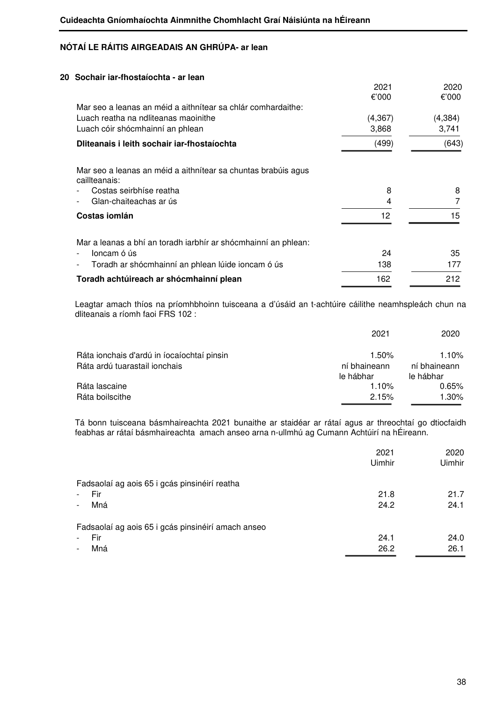| 2021     | 2020     |
|----------|----------|
| €'000    | €'000    |
|          |          |
| (4, 367) | (4, 384) |
| 3,868    | 3,741    |
| (499)    | (643)    |
|          |          |
| 8        | 8        |
| 4        |          |
| 12       | 15       |
|          |          |
| 24       | 35       |
| 138      | 177      |
| 162      | 212      |
|          |          |

Leagtar amach thíos na príomhbhoinn tuisceana a d'úsáid an t-achtúire cáilithe neamhspleách chun na dliteanais a ríomh faoi FRS 102 :

|                                            | 2021                      | 2020                      |
|--------------------------------------------|---------------------------|---------------------------|
| Ráta ionchais d'ardú in íocaíochtaí pinsin | 1.50%                     | 1.10%                     |
| Ráta ardú tuarastail ionchais              | ní bhaineann<br>le hábhar | ní bhaineann<br>le hábhar |
| Ráta lascaine                              | 1.10%                     | 0.65%                     |
| Ráta boilscithe                            | 2.15%                     | 1.30%                     |

 Tá bonn tuisceana básmhaireachta 2021 bunaithe ar staidéar ar rátaí agus ar threochtaí go dtiocfaidh feabhas ar rátaí básmhaireachta amach anseo arna n-ullmhú ag Cumann Achtúirí na hÉireann.

|                                                    | 2021<br>Uimhir | 2020<br>Uimhir |
|----------------------------------------------------|----------------|----------------|
| Fadsaolaí ag aois 65 i gcás pinsinéirí reatha      |                |                |
| Fir                                                | 21.8           | 21.7           |
| Mná<br>$\overline{\phantom{0}}$                    | 24.2           | 24.1           |
| Fadsaolaí ag aois 65 i gcás pinsinéirí amach anseo |                |                |
| Fir                                                | 24.1           | 24.0           |
| Mná                                                | 26.2           | 26.1           |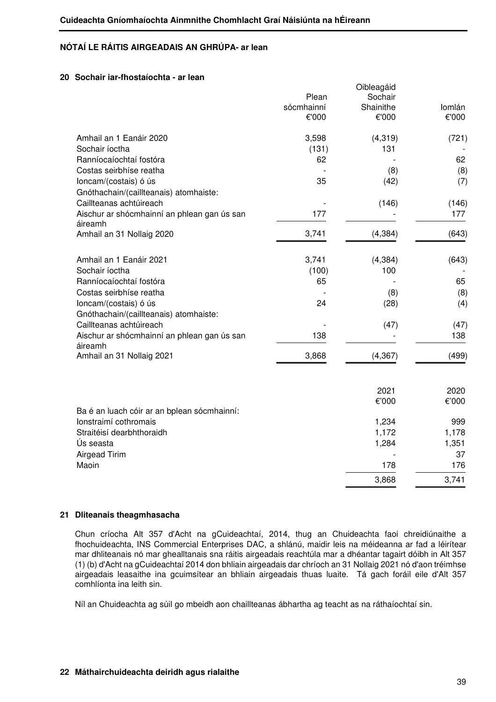### **20 Sochair iar-fhostaíochta - ar lean**

|                                                        | Plean<br>sócmhainní<br>€'000 | Oibleagáid<br>Sochair<br>Shainithe<br>€'000 | Iomlán<br>€'000 |
|--------------------------------------------------------|------------------------------|---------------------------------------------|-----------------|
|                                                        |                              |                                             |                 |
| Amhail an 1 Eanáir 2020                                | 3,598                        | (4, 319)                                    | (721)           |
| Sochair íoctha                                         | (131)                        | 131                                         |                 |
| Ranníocaíochtaí fostóra                                | 62                           |                                             | 62              |
| Costas seirbhíse reatha                                |                              | (8)                                         | (8)             |
| loncam/(costais) ó ús                                  | 35                           | (42)                                        | (7)             |
| Gnóthachain/(caillteanais) atomhaiste:                 |                              |                                             |                 |
| Caillteanas achtúireach                                |                              | (146)                                       | (146)           |
| Aischur ar shócmhainní an phlean gan ús san<br>áireamh | 177                          |                                             | 177             |
| Amhail an 31 Nollaig 2020                              | 3,741                        | (4, 384)                                    | (643)           |
| Amhail an 1 Eanáir 2021                                | 3,741                        | (4, 384)                                    | (643)           |
| Sochair íoctha                                         | (100)                        | 100                                         |                 |
| Ranníocaíochtaí fostóra                                | 65                           |                                             | 65              |
| Costas seirbhíse reatha                                |                              | (8)                                         | (8)             |
| loncam/(costais) ó ús                                  | 24                           | (28)                                        | (4)             |
| Gnóthachain/(caillteanais) atomhaiste:                 |                              |                                             |                 |
| Caillteanas achtúireach                                |                              | (47)                                        | (47)            |
| Aischur ar shócmhainní an phlean gan ús san<br>áireamh | 138                          |                                             | 138             |
| Amhail an 31 Nollaig 2021                              | 3,868                        | (4, 367)                                    | (499)           |
|                                                        |                              | 2021                                        | 2020            |
|                                                        |                              | €'000                                       | €'000           |
| Ba é an luach cóir ar an bplean sócmhainní:            |                              |                                             |                 |
| Ionstraimí cothromais                                  |                              | 1,234                                       | 999             |
| Straitéisí dearbhthoraidh                              |                              | 1,172                                       | 1,178           |
| Ús seasta                                              |                              | 1,284                                       | 1,351           |
| Airgead Tirim                                          |                              |                                             | 37              |
| Maoin                                                  |                              | 178                                         | 176             |
|                                                        |                              | 3,868                                       | 3,741           |

#### **21 Dliteanais theagmhasacha**

Chun críocha Alt 357 d'Acht na gCuideachtaí, 2014, thug an Chuideachta faoi chreidiúnaithe a fhochuideachta, INS Commercial Enterprises DAC, a shlánú, maidir leis na méideanna ar fad a léirítear mar dhliteanais nó mar ghealltanais sna ráitis airgeadais reachtúla mar a dhéantar tagairt dóibh in Alt 357 (1) (b) d'Acht na gCuideachtaí 2014 don bhliain airgeadais dar chríoch an 31 Nollaig 2021 nó d'aon tréimhse airgeadais leasaithe ina gcuimsítear an bhliain airgeadais thuas luaite. Tá gach foráil eile d'Alt 357 comhlíonta ina leith sin.

Níl an Chuideachta ag súil go mbeidh aon chaillteanas ábhartha ag teacht as na ráthaíochtaí sin.